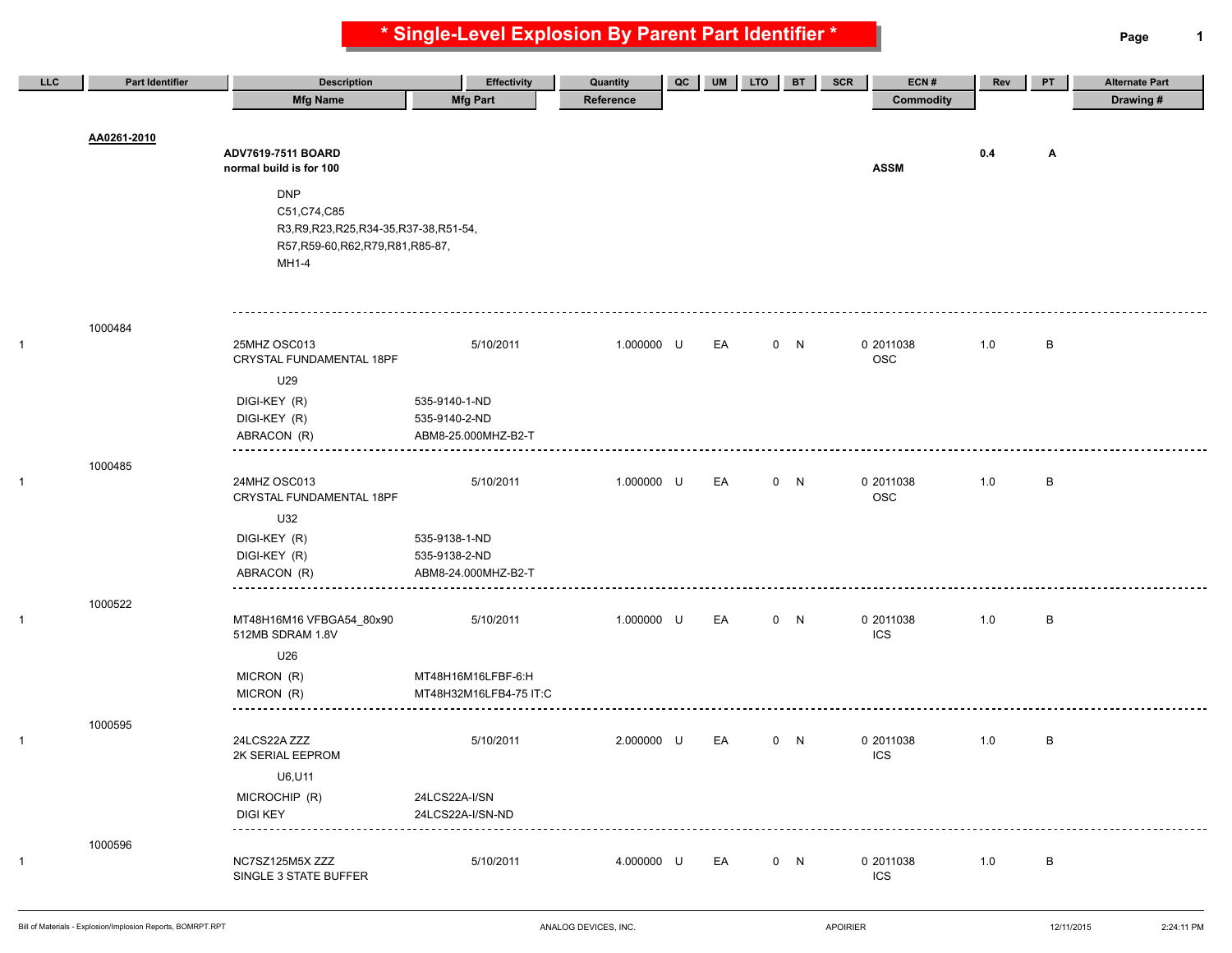**\* Single-Level Explosion By Parent Part Identifier \* Page 1**

| <b>LLC</b> | Part Identifier | <b>Description</b>                                                                                         | <b>Effectivity</b>             | Quantity   | QC | UM | LTO | <b>BT</b> | SCR | ECN#                    | Rev | PT           | <b>Alternate Part</b> |
|------------|-----------------|------------------------------------------------------------------------------------------------------------|--------------------------------|------------|----|----|-----|-----------|-----|-------------------------|-----|--------------|-----------------------|
|            |                 | <b>Mfg Name</b>                                                                                            | <b>Mfg Part</b>                | Reference  |    |    |     |           |     | <b>Commodity</b>        |     |              | Drawing #             |
|            | AA0261-2010     | ADV7619-7511 BOARD<br>normal build is for 100<br><b>DNP</b>                                                |                                |            |    |    |     |           |     | <b>ASSM</b>             | 0.4 | Α            |                       |
|            |                 | C51, C74, C85<br>R3, R9, R23, R25, R34-35, R37-38, R51-54,<br>R57, R59-60, R62, R79, R81, R85-87,<br>MH1-4 |                                |            |    |    |     |           |     |                         |     |              |                       |
|            | 1000484         |                                                                                                            |                                |            |    |    |     |           |     |                         |     |              |                       |
|            |                 | 25MHZ OSC013<br>CRYSTAL FUNDAMENTAL 18PF                                                                   | 5/10/2011                      | 1.000000 U |    | EA |     | 0 N       |     | 0 2011038<br><b>OSC</b> | 1.0 | $\,$ B       |                       |
|            |                 | U29                                                                                                        |                                |            |    |    |     |           |     |                         |     |              |                       |
|            |                 | DIGI-KEY (R)                                                                                               | 535-9140-1-ND<br>535-9140-2-ND |            |    |    |     |           |     |                         |     |              |                       |
|            |                 | DIGI-KEY (R)<br>ABRACON (R)                                                                                | ABM8-25.000MHZ-B2-T            |            |    |    |     |           |     |                         |     |              |                       |
|            |                 |                                                                                                            |                                |            |    |    |     |           |     |                         |     |              |                       |
|            | 1000485         | 24MHZ OSC013<br>CRYSTAL FUNDAMENTAL 18PF                                                                   | 5/10/2011                      | 1.000000 U |    | EA |     | 0 N       |     | 0 2011038<br><b>OSC</b> | 1.0 | B            |                       |
|            |                 | U32                                                                                                        |                                |            |    |    |     |           |     |                         |     |              |                       |
|            |                 | DIGI-KEY (R)                                                                                               | 535-9138-1-ND                  |            |    |    |     |           |     |                         |     |              |                       |
|            |                 | DIGI-KEY (R)                                                                                               | 535-9138-2-ND                  |            |    |    |     |           |     |                         |     |              |                       |
|            |                 | ABRACON (R)                                                                                                | ABM8-24.000MHZ-B2-T            |            |    |    |     |           |     |                         |     |              |                       |
|            | 1000522         |                                                                                                            |                                |            |    |    |     |           |     |                         |     |              |                       |
|            |                 | MT48H16M16 VFBGA54_80x90<br>512MB SDRAM 1.8V                                                               | 5/10/2011                      | 1.000000 U |    | EA |     | 0 N       |     | 0 2011038<br>ICS        | 1.0 | $\,$ B       |                       |
|            |                 | U26                                                                                                        |                                |            |    |    |     |           |     |                         |     |              |                       |
|            |                 | MICRON (R)                                                                                                 | MT48H16M16LFBF-6:H             |            |    |    |     |           |     |                         |     |              |                       |
|            |                 | MICRON (R)                                                                                                 | MT48H32M16LFB4-75 IT:C         |            |    |    |     |           |     |                         |     |              |                       |
|            | 1000595         |                                                                                                            |                                |            |    |    |     |           |     |                         |     |              |                       |
|            |                 | 24LCS22A ZZZ<br>2K SERIAL EEPROM                                                                           | 5/10/2011                      | 2.000000 U |    | EA |     | 0 N       |     | 0 2011038<br><b>ICS</b> | 1.0 | B            |                       |
|            |                 | U6, U11                                                                                                    |                                |            |    |    |     |           |     |                         |     |              |                       |
|            |                 | MICROCHIP (R)                                                                                              | 24LCS22A-I/SN                  |            |    |    |     |           |     |                         |     |              |                       |
|            |                 | <b>DIGI KEY</b><br>-----------                                                                             | 24LCS22A-I/SN-ND               |            |    |    |     |           |     |                         |     |              |                       |
|            | 1000596         |                                                                                                            |                                |            |    |    |     |           |     |                         |     |              |                       |
|            |                 | NC7SZ125M5X ZZZ<br>SINGLE 3 STATE BUFFER                                                                   | 5/10/2011                      | 4.000000 U |    | EA |     | 0 N       |     | 0 2011038<br>ICS        | 1.0 | $\, {\sf B}$ |                       |
|            |                 |                                                                                                            |                                |            |    |    |     |           |     |                         |     |              |                       |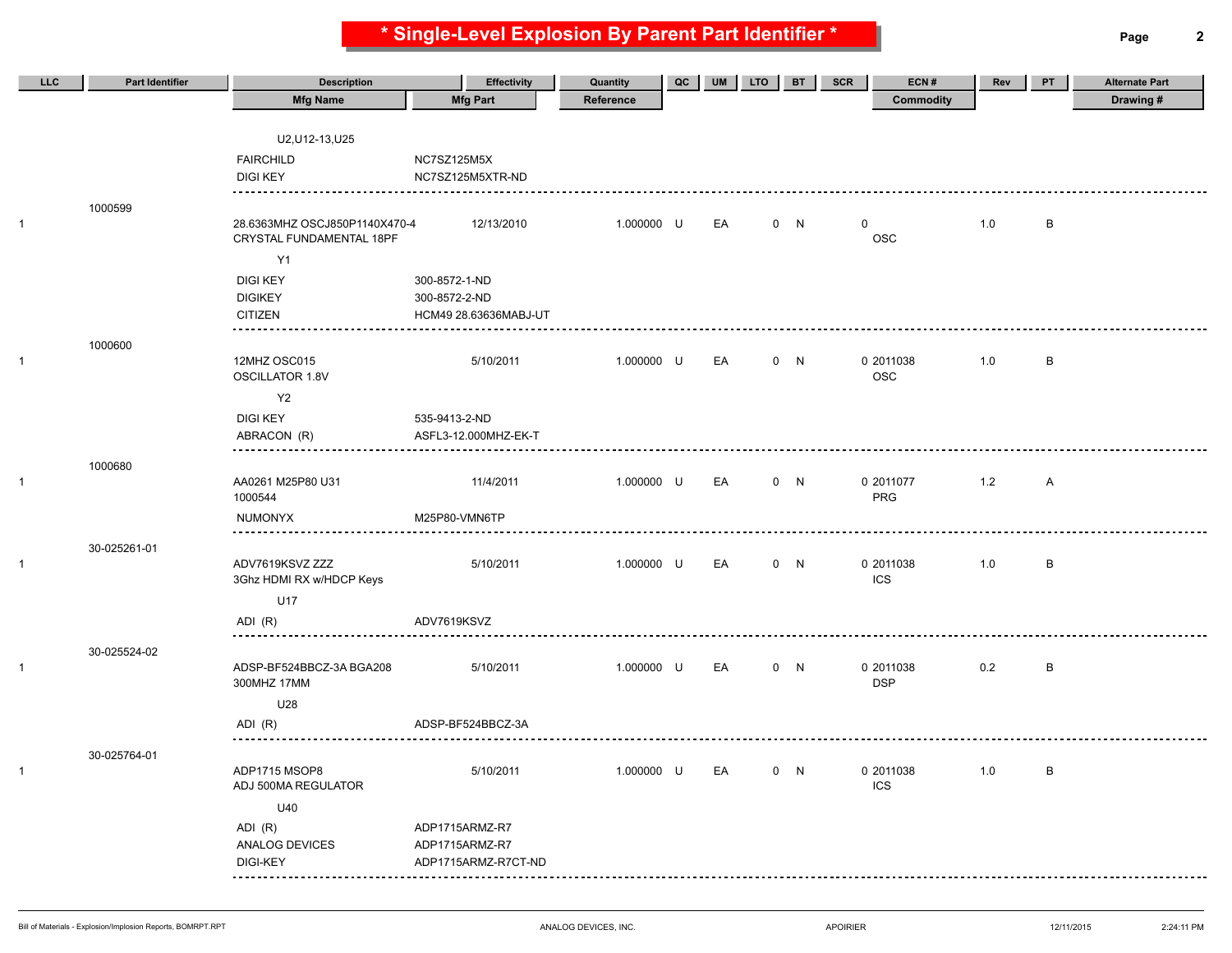**\* Single-Level Explosion By Parent Part Identifier \* Page 2**

| <b>LLC</b>   | <b>Part Identifier</b> | <b>Description</b>            | <b>Effectivity</b>                    | Quantity   | QC | <b>UM</b> | <b>LTO</b> | <b>BT</b> | <b>SCR</b>  | ECN#             | Rev   | PT           | <b>Alternate Part</b> |
|--------------|------------------------|-------------------------------|---------------------------------------|------------|----|-----------|------------|-----------|-------------|------------------|-------|--------------|-----------------------|
|              |                        | <b>Mfg Name</b>               | <b>Mfg Part</b>                       | Reference  |    |           |            |           |             | <b>Commodity</b> |       |              | Drawing#              |
|              |                        |                               |                                       |            |    |           |            |           |             |                  |       |              |                       |
|              |                        | U2, U12-13, U25               |                                       |            |    |           |            |           |             |                  |       |              |                       |
|              |                        | <b>FAIRCHILD</b>              | NC7SZ125M5X                           |            |    |           |            |           |             |                  |       |              |                       |
|              |                        | <b>DIGI KEY</b>               | NC7SZ125M5XTR-ND                      |            |    |           |            |           |             |                  |       |              |                       |
|              | 1000599                |                               |                                       |            |    |           |            |           |             |                  |       |              |                       |
| 1            |                        | 28.6363MHZ OSCJ850P1140X470-4 | 12/13/2010                            | 1.000000 U |    | EA        |            | 0 N       | $\mathbf 0$ |                  | 1.0   | B            |                       |
|              |                        | CRYSTAL FUNDAMENTAL 18PF      |                                       |            |    |           |            |           |             | <b>OSC</b>       |       |              |                       |
|              |                        | <b>Y1</b>                     |                                       |            |    |           |            |           |             |                  |       |              |                       |
|              |                        | <b>DIGI KEY</b>               | 300-8572-1-ND                         |            |    |           |            |           |             |                  |       |              |                       |
|              |                        | <b>DIGIKEY</b>                | 300-8572-2-ND                         |            |    |           |            |           |             |                  |       |              |                       |
|              |                        | <b>CITIZEN</b>                | HCM49 28.63636MABJ-UT                 |            |    |           |            |           |             |                  |       |              |                       |
|              | 1000600                |                               |                                       |            |    |           |            |           |             |                  |       |              |                       |
| $\mathbf{1}$ |                        | 12MHZ OSC015                  | 5/10/2011                             | 1.000000 U |    | EA        |            | 0 N       |             | 0 2011038        | 1.0   | B            |                       |
|              |                        | <b>OSCILLATOR 1.8V</b>        |                                       |            |    |           |            |           |             | <b>OSC</b>       |       |              |                       |
|              |                        | Y <sub>2</sub>                |                                       |            |    |           |            |           |             |                  |       |              |                       |
|              |                        | <b>DIGI KEY</b>               | 535-9413-2-ND                         |            |    |           |            |           |             |                  |       |              |                       |
|              |                        | ABRACON (R)                   | ASFL3-12.000MHZ-EK-T                  |            |    |           |            |           |             |                  |       |              |                       |
|              | 1000680                |                               |                                       |            |    |           |            |           |             |                  |       |              |                       |
| $\mathbf{1}$ |                        | AA0261 M25P80 U31             | 11/4/2011                             | 1.000000 U |    | EA        |            | 0 N       |             | 0 2011077        | 1.2   | $\mathsf{A}$ |                       |
|              |                        | 1000544                       |                                       |            |    |           |            |           |             | PRG              |       |              |                       |
|              |                        | <b>NUMONYX</b>                | M25P80-VMN6TP                         |            |    |           |            |           |             |                  |       |              |                       |
|              | 30-025261-01           |                               |                                       |            |    |           |            |           |             |                  |       |              |                       |
| $\mathbf{1}$ |                        | ADV7619KSVZ ZZZ               | 5/10/2011                             | 1.000000 U |    | EA        |            | 0 N       |             | 0 2011038        | 1.0   | B            |                       |
|              |                        | 3Ghz HDMI RX w/HDCP Keys      |                                       |            |    |           |            |           |             | <b>ICS</b>       |       |              |                       |
|              |                        | U17                           |                                       |            |    |           |            |           |             |                  |       |              |                       |
|              |                        | ADI (R)                       | ADV7619KSVZ                           |            |    |           |            |           |             |                  |       |              |                       |
|              | 30-025524-02           |                               |                                       |            |    |           |            |           |             |                  |       |              |                       |
| $\mathbf{1}$ |                        | ADSP-BF524BBCZ-3A BGA208      | 5/10/2011                             | 1.000000 U |    | EA        |            | 0 N       |             | 0 2011038        | 0.2   | B            |                       |
|              |                        | 300MHZ 17MM                   |                                       |            |    |           |            |           |             | <b>DSP</b>       |       |              |                       |
|              |                        | U28                           |                                       |            |    |           |            |           |             |                  |       |              |                       |
|              |                        | ADI (R)                       | ADSP-BF524BBCZ-3A                     |            |    |           |            |           |             |                  |       |              |                       |
|              | 30-025764-01           |                               |                                       |            |    |           |            |           |             |                  |       |              |                       |
| $\mathbf{1}$ |                        | ADP1715 MSOP8                 | 5/10/2011                             | 1.000000 U |    | EA        |            | 0 N       |             | 0 2011038        | $1.0$ | B            |                       |
|              |                        | ADJ 500MA REGULATOR           |                                       |            |    |           |            |           |             | ICS              |       |              |                       |
|              |                        | U40                           |                                       |            |    |           |            |           |             |                  |       |              |                       |
|              |                        | ADI (R)                       | ADP1715ARMZ-R7                        |            |    |           |            |           |             |                  |       |              |                       |
|              |                        | ANALOG DEVICES<br>DIGI-KEY    | ADP1715ARMZ-R7<br>ADP1715ARMZ-R7CT-ND |            |    |           |            |           |             |                  |       |              |                       |
|              |                        | ---------                     |                                       |            |    |           |            |           |             |                  |       |              |                       |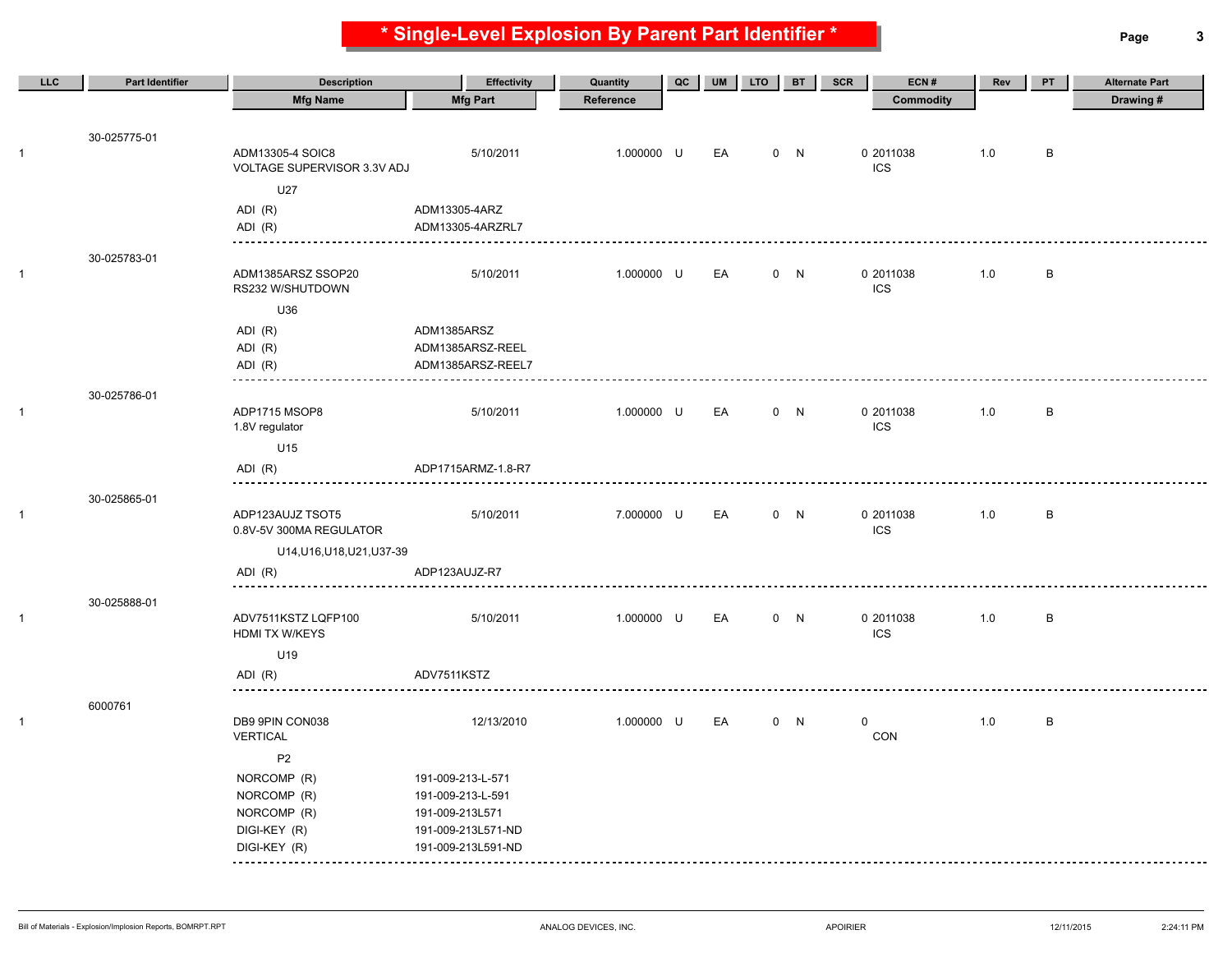**\* Single-Level Explosion By Parent Part Identifier \* Page 3**

| <b>LLC</b>   | <b>Part Identifier</b> | <b>Description</b>                              | <b>Effectivity</b>                    | Quantity   | QC | <b>UM</b> | LTO <sub>.</sub> | <b>BT</b> | ECN#<br><b>SCR</b>      | Rev | PT     | <b>Alternate Part</b> |
|--------------|------------------------|-------------------------------------------------|---------------------------------------|------------|----|-----------|------------------|-----------|-------------------------|-----|--------|-----------------------|
|              |                        | <b>Mfg Name</b>                                 | <b>Mfg Part</b>                       | Reference  |    |           |                  |           | <b>Commodity</b>        |     |        | Drawing#              |
|              | 30-025775-01           |                                                 |                                       |            |    |           |                  |           |                         |     |        |                       |
| $\mathbf{1}$ |                        | ADM13305-4 SOIC8<br>VOLTAGE SUPERVISOR 3.3V ADJ | 5/10/2011                             | 1.000000 U |    | EA        |                  | 0 N       | 0 2011038<br><b>ICS</b> | 1.0 | В      |                       |
|              |                        | U27                                             |                                       |            |    |           |                  |           |                         |     |        |                       |
|              |                        | ADI (R)                                         | ADM13305-4ARZ                         |            |    |           |                  |           |                         |     |        |                       |
|              |                        | ADI (R)                                         | ADM13305-4ARZRL7                      |            |    |           |                  |           |                         |     |        |                       |
|              | 30-025783-01           |                                                 |                                       |            |    |           |                  |           |                         |     |        |                       |
| 1            |                        | ADM1385ARSZ SSOP20<br>RS232 W/SHUTDOWN          | 5/10/2011                             | 1.000000 U |    | EA        |                  | 0 N       | 0 2011038<br><b>ICS</b> | 1.0 | $\,$ B |                       |
|              |                        | U36                                             |                                       |            |    |           |                  |           |                         |     |        |                       |
|              |                        | ADI (R)                                         | ADM1385ARSZ                           |            |    |           |                  |           |                         |     |        |                       |
|              |                        | ADI (R)<br>ADI (R)                              | ADM1385ARSZ-REEL<br>ADM1385ARSZ-REEL7 |            |    |           |                  |           |                         |     |        |                       |
|              | 30-025786-01           | ------                                          |                                       |            |    |           |                  |           |                         |     |        |                       |
| 1            |                        | ADP1715 MSOP8<br>1.8V regulator                 | 5/10/2011                             | 1.000000 U |    | EA        |                  | 0 N       | 0 2011038<br><b>ICS</b> | 1.0 | $\,$ B |                       |
|              |                        | U15                                             |                                       |            |    |           |                  |           |                         |     |        |                       |
|              |                        | ADI (R)                                         | ADP1715ARMZ-1.8-R7                    |            |    |           |                  |           |                         |     |        |                       |
|              | 30-025865-01           |                                                 |                                       |            |    |           |                  |           |                         |     |        |                       |
| $\mathbf{1}$ |                        | ADP123AUJZ TSOT5<br>0.8V-5V 300MA REGULATOR     | 5/10/2011                             | 7.000000 U |    | EA        |                  | 0 N       | 0 2011038<br><b>ICS</b> | 1.0 | B      |                       |
|              |                        | U14, U16, U18, U21, U37-39                      |                                       |            |    |           |                  |           |                         |     |        |                       |
|              |                        | ADI (R)                                         | ADP123AUJZ-R7                         |            |    |           |                  |           |                         |     |        |                       |
|              | 30-025888-01           |                                                 |                                       |            |    |           |                  |           |                         |     |        |                       |
| $\mathbf{1}$ |                        | ADV7511KSTZ LQFP100<br>HDMI TX W/KEYS           | 5/10/2011                             | 1.000000 U |    | EA        |                  | 0 N       | 0 2011038<br><b>ICS</b> | 1.0 | B      |                       |
|              |                        | U19                                             |                                       |            |    |           |                  |           |                         |     |        |                       |
|              |                        | ADI (R)                                         | ADV7511KSTZ                           |            |    |           |                  |           |                         |     |        |                       |
|              | 6000761                |                                                 |                                       |            |    |           |                  |           |                         |     |        |                       |
| $\mathbf{1}$ |                        | DB9 9PIN CON038<br><b>VERTICAL</b>              | 12/13/2010                            | 1.000000 U |    | EA        |                  | 0 N       | 0<br>CON                | 1.0 | B      |                       |
|              |                        | P <sub>2</sub>                                  |                                       |            |    |           |                  |           |                         |     |        |                       |
|              |                        | NORCOMP (R)                                     | 191-009-213-L-571                     |            |    |           |                  |           |                         |     |        |                       |
|              |                        | NORCOMP (R)<br>NORCOMP (R)                      | 191-009-213-L-591<br>191-009-213L571  |            |    |           |                  |           |                         |     |        |                       |
|              |                        | DIGI-KEY (R)                                    | 191-009-213L571-ND                    |            |    |           |                  |           |                         |     |        |                       |
|              |                        | DIGI-KEY (R)                                    | 191-009-213L591-ND                    |            |    |           |                  |           |                         |     |        |                       |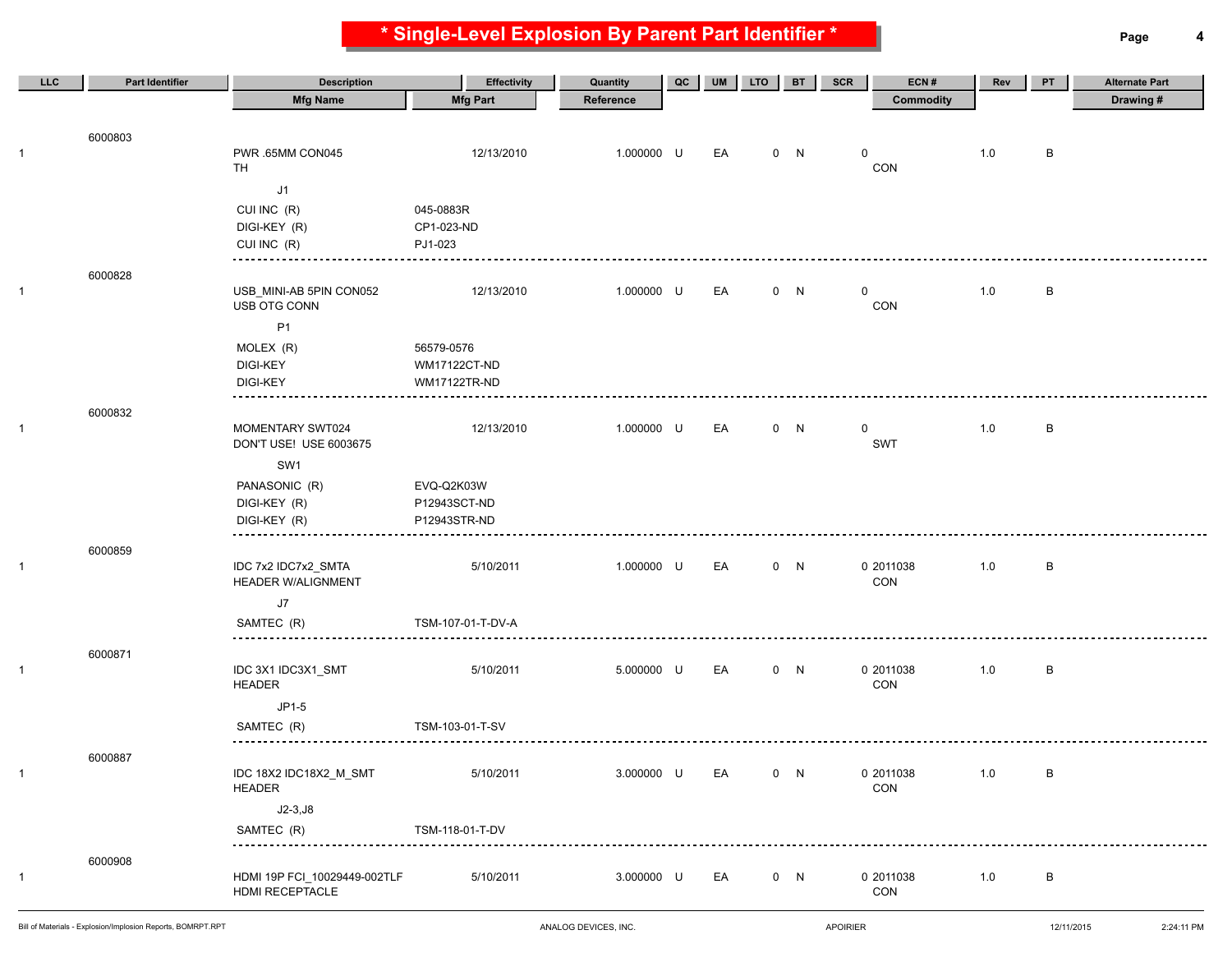**\* Single-Level Explosion By Parent Part Identifier \* Page 4**

| LLC          | <b>Part Identifier</b> | <b>Description</b>                         | <b>Effectivity</b>         | Quantity   | QC | <b>UM</b> | <b>LTO</b> | <b>BT</b> | SCR | ECN#             | Rev     | PT | <b>Alternate Part</b> |
|--------------|------------------------|--------------------------------------------|----------------------------|------------|----|-----------|------------|-----------|-----|------------------|---------|----|-----------------------|
|              |                        | <b>Mfg Name</b>                            | <b>Mfg Part</b>            | Reference  |    |           |            |           |     | <b>Commodity</b> |         |    | Drawing#              |
|              |                        |                                            |                            |            |    |           |            |           |     |                  |         |    |                       |
| -1           | 6000803                | PWR .65MM CON045                           | 12/13/2010                 | 1.000000 U |    | EA        |            | 0 N       | 0   |                  | 1.0     | B  |                       |
|              |                        | <b>TH</b>                                  |                            |            |    |           |            |           |     | CON              |         |    |                       |
|              |                        | J1                                         |                            |            |    |           |            |           |     |                  |         |    |                       |
|              |                        | CUI INC (R)                                | 045-0883R                  |            |    |           |            |           |     |                  |         |    |                       |
|              |                        | DIGI-KEY (R)                               | CP1-023-ND                 |            |    |           |            |           |     |                  |         |    |                       |
|              |                        | CUI INC (R)                                | PJ1-023                    |            |    |           |            |           |     |                  |         |    |                       |
|              | 6000828                |                                            |                            |            |    |           |            |           |     |                  |         |    |                       |
| $\mathbf{1}$ |                        | USB_MINI-AB 5PIN CON052                    | 12/13/2010                 | 1.000000 U |    | EA        |            | 0 N       | 0   |                  | 1.0     | В  |                       |
|              |                        | USB OTG CONN                               |                            |            |    |           |            |           |     | CON              |         |    |                       |
|              |                        | P1                                         |                            |            |    |           |            |           |     |                  |         |    |                       |
|              |                        | MOLEX (R)<br>DIGI-KEY                      | 56579-0576<br>WM17122CT-ND |            |    |           |            |           |     |                  |         |    |                       |
|              |                        | <b>DIGI-KEY</b>                            | WM17122TR-ND               |            |    |           |            |           |     |                  |         |    |                       |
|              |                        |                                            |                            |            |    |           |            |           |     |                  |         |    |                       |
|              | 6000832                |                                            |                            |            |    |           |            |           |     |                  |         |    |                       |
| $\mathbf{1}$ |                        | MOMENTARY SWT024<br>DON'T USE! USE 6003675 | 12/13/2010                 | 1.000000 U |    | EA        |            | 0 N       | 0   | SWT              | 1.0     | В  |                       |
|              |                        | SW1                                        |                            |            |    |           |            |           |     |                  |         |    |                       |
|              |                        | PANASONIC (R)                              | EVQ-Q2K03W                 |            |    |           |            |           |     |                  |         |    |                       |
|              |                        | DIGI-KEY (R)                               | P12943SCT-ND               |            |    |           |            |           |     |                  |         |    |                       |
|              |                        | DIGI-KEY (R)                               | P12943STR-ND               |            |    |           |            |           |     |                  |         |    |                       |
|              | 6000859                |                                            |                            |            |    |           |            |           |     |                  |         |    |                       |
| $\mathbf{1}$ |                        | IDC 7x2 IDC7x2_SMTA                        | 5/10/2011                  | 1.000000 U |    | EA        |            | 0 N       |     | 0 2011038        | 1.0     | В  |                       |
|              |                        | <b>HEADER W/ALIGNMENT</b>                  |                            |            |    |           |            |           |     | CON              |         |    |                       |
|              |                        | J7                                         |                            |            |    |           |            |           |     |                  |         |    |                       |
|              |                        | SAMTEC (R)<br>---------------------------- | TSM-107-01-T-DV-A          |            |    |           |            |           |     |                  |         |    |                       |
|              | 6000871                |                                            |                            |            |    |           |            |           |     |                  |         |    |                       |
| $\mathbf{1}$ |                        | IDC 3X1 IDC3X1_SMT                         | 5/10/2011                  | 5.000000 U |    | EA        |            | 0 N       |     | 0 2011038        | 1.0     | B  |                       |
|              |                        | <b>HEADER</b>                              |                            |            |    |           |            |           |     | <b>CON</b>       |         |    |                       |
|              |                        | JP1-5                                      |                            |            |    |           |            |           |     |                  |         |    |                       |
|              |                        | SAMTEC (R)                                 | TSM-103-01-T-SV            |            |    |           |            |           |     |                  |         |    |                       |
|              | 6000887                |                                            |                            |            |    |           |            |           |     |                  |         |    |                       |
| $\mathbf{1}$ |                        | IDC 18X2 IDC18X2_M_SMT                     | 5/10/2011                  | 3.000000 U |    | EA        |            | 0 N       |     | 0 2011038        | $1.0\,$ | B  |                       |
|              |                        | <b>HEADER</b>                              |                            |            |    |           |            |           |     | CON              |         |    |                       |
|              |                        | $J2-3,J8$                                  |                            |            |    |           |            |           |     |                  |         |    |                       |
|              |                        | SAMTEC (R)                                 | TSM-118-01-T-DV            |            |    |           |            |           |     |                  |         |    |                       |
|              | 6000908                |                                            |                            |            |    |           |            |           |     |                  |         |    |                       |
| $\mathbf{1}$ |                        | HDMI 19P FCI_10029449-002TLF               | 5/10/2011                  | 3.000000 U |    | EA        |            | 0 N       |     | 0 2011038        | 1.0     | B  |                       |
|              |                        | HDMI RECEPTACLE                            |                            |            |    |           |            |           |     | CON              |         |    |                       |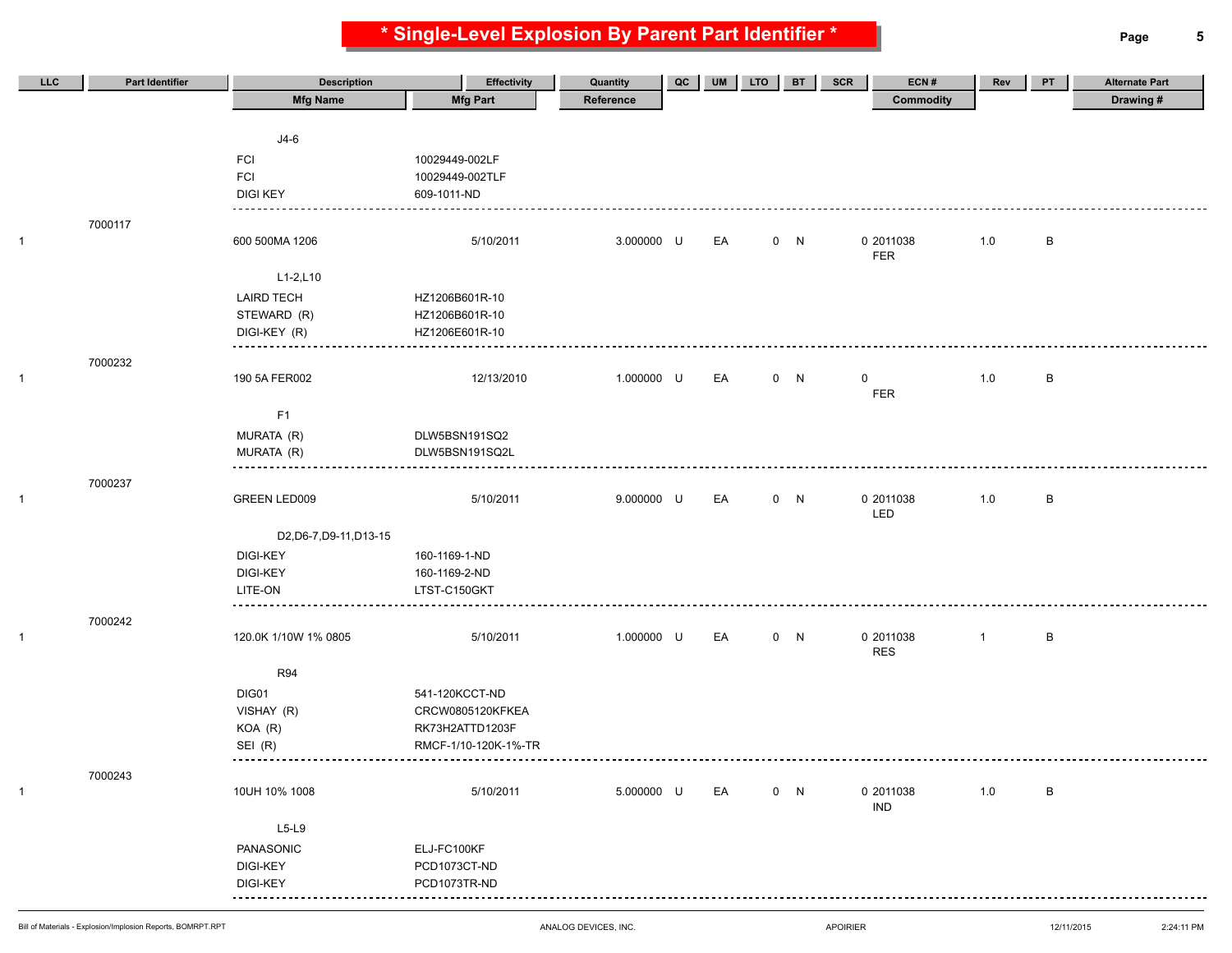**\* Single-Level Explosion By Parent Part Identifier \* Page 5**

| <b>LLC</b> | <b>Part Identifier</b> | <b>Description</b>      | <b>Effectivity</b>   | Quantity   | QC | <b>UM</b> | <b>LTO</b> | <b>BT</b> | SCR<br>ECN#             | Rev            | PT           | <b>Alternate Part</b> |
|------------|------------------------|-------------------------|----------------------|------------|----|-----------|------------|-----------|-------------------------|----------------|--------------|-----------------------|
|            |                        | <b>Mfg Name</b>         | <b>Mfg Part</b>      | Reference  |    |           |            |           | <b>Commodity</b>        |                |              | Drawing#              |
|            |                        |                         |                      |            |    |           |            |           |                         |                |              |                       |
|            |                        | $J4-6$                  |                      |            |    |           |            |           |                         |                |              |                       |
|            |                        | <b>FCI</b>              | 10029449-002LF       |            |    |           |            |           |                         |                |              |                       |
|            |                        | <b>FCI</b>              | 10029449-002TLF      |            |    |           |            |           |                         |                |              |                       |
|            |                        | <b>DIGI KEY</b>         | 609-1011-ND          |            |    |           |            |           |                         |                |              |                       |
|            |                        |                         |                      |            |    |           |            |           |                         |                |              |                       |
|            | 7000117                |                         |                      |            |    |           |            |           |                         |                |              |                       |
| 1          |                        | 600 500MA 1206          | 5/10/2011            | 3.000000 U |    | EA        |            | 0 N       | 0 2011038               | 1.0            | B            |                       |
|            |                        |                         |                      |            |    |           |            |           | <b>FER</b>              |                |              |                       |
|            |                        | $L1 - 2, L10$           |                      |            |    |           |            |           |                         |                |              |                       |
|            |                        | <b>LAIRD TECH</b>       | HZ1206B601R-10       |            |    |           |            |           |                         |                |              |                       |
|            |                        | STEWARD (R)             | HZ1206B601R-10       |            |    |           |            |           |                         |                |              |                       |
|            |                        | DIGI-KEY (R)            | HZ1206E601R-10       |            |    |           |            |           |                         |                |              |                       |
|            | 7000232                |                         |                      |            |    |           |            |           |                         |                |              |                       |
| 1          |                        | 190 5A FER002           | 12/13/2010           | 1.000000 U |    | EA        |            | 0 N       | 0                       | 1.0            | B            |                       |
|            |                        |                         |                      |            |    |           |            |           | FER                     |                |              |                       |
|            |                        | F1                      |                      |            |    |           |            |           |                         |                |              |                       |
|            |                        | MURATA (R)              | DLW5BSN191SQ2        |            |    |           |            |           |                         |                |              |                       |
|            |                        | MURATA (R)              | DLW5BSN191SQ2L       |            |    |           |            |           |                         |                |              |                       |
|            |                        |                         |                      |            |    |           |            |           |                         |                |              |                       |
|            | 7000237                |                         |                      |            |    |           |            |           |                         |                |              |                       |
| 1          |                        | <b>GREEN LED009</b>     | 5/10/2011            | 9.000000 U |    | EA        |            | 0 N       | 0 2011038               | 1.0            | $\, {\sf B}$ |                       |
|            |                        |                         |                      |            |    |           |            |           | LED                     |                |              |                       |
|            |                        | D2, D6-7, D9-11, D13-15 |                      |            |    |           |            |           |                         |                |              |                       |
|            |                        | DIGI-KEY                | 160-1169-1-ND        |            |    |           |            |           |                         |                |              |                       |
|            |                        | <b>DIGI-KEY</b>         | 160-1169-2-ND        |            |    |           |            |           |                         |                |              |                       |
|            |                        | LITE-ON                 | LTST-C150GKT         |            |    |           |            |           |                         |                |              |                       |
|            | 7000242                |                         |                      |            |    |           |            |           |                         |                |              |                       |
| 1          |                        | 120.0K 1/10W 1% 0805    | 5/10/2011            | 1.000000 U |    | EA        |            | 0 N       | 0 2011038               | $\overline{1}$ | B            |                       |
|            |                        |                         |                      |            |    |           |            |           | <b>RES</b>              |                |              |                       |
|            |                        | <b>R94</b>              |                      |            |    |           |            |           |                         |                |              |                       |
|            |                        | DIG01                   | 541-120KCCT-ND       |            |    |           |            |           |                         |                |              |                       |
|            |                        | VISHAY (R)              | CRCW0805120KFKEA     |            |    |           |            |           |                         |                |              |                       |
|            |                        | KOA (R)                 | RK73H2ATTD1203F      |            |    |           |            |           |                         |                |              |                       |
|            |                        | SEI (R)                 | RMCF-1/10-120K-1%-TR |            |    |           |            |           |                         |                |              |                       |
|            |                        |                         |                      |            |    |           |            |           |                         |                |              |                       |
|            | 7000243                |                         |                      |            |    |           |            |           |                         |                |              |                       |
| 1          |                        | 10UH 10% 1008           | 5/10/2011            | 5.000000 U |    | EA        |            | 0 N       | 0 2011038<br><b>IND</b> | 1.0            | B            |                       |
|            |                        |                         |                      |            |    |           |            |           |                         |                |              |                       |
|            |                        | $L5-L9$                 |                      |            |    |           |            |           |                         |                |              |                       |
|            |                        | PANASONIC               | ELJ-FC100KF          |            |    |           |            |           |                         |                |              |                       |
|            |                        | DIGI-KEY                | PCD1073CT-ND         |            |    |           |            |           |                         |                |              |                       |
|            |                        | DIGI-KEY                | PCD1073TR-ND         |            |    |           |            |           |                         |                |              |                       |
|            |                        |                         |                      |            |    |           |            |           |                         |                |              |                       |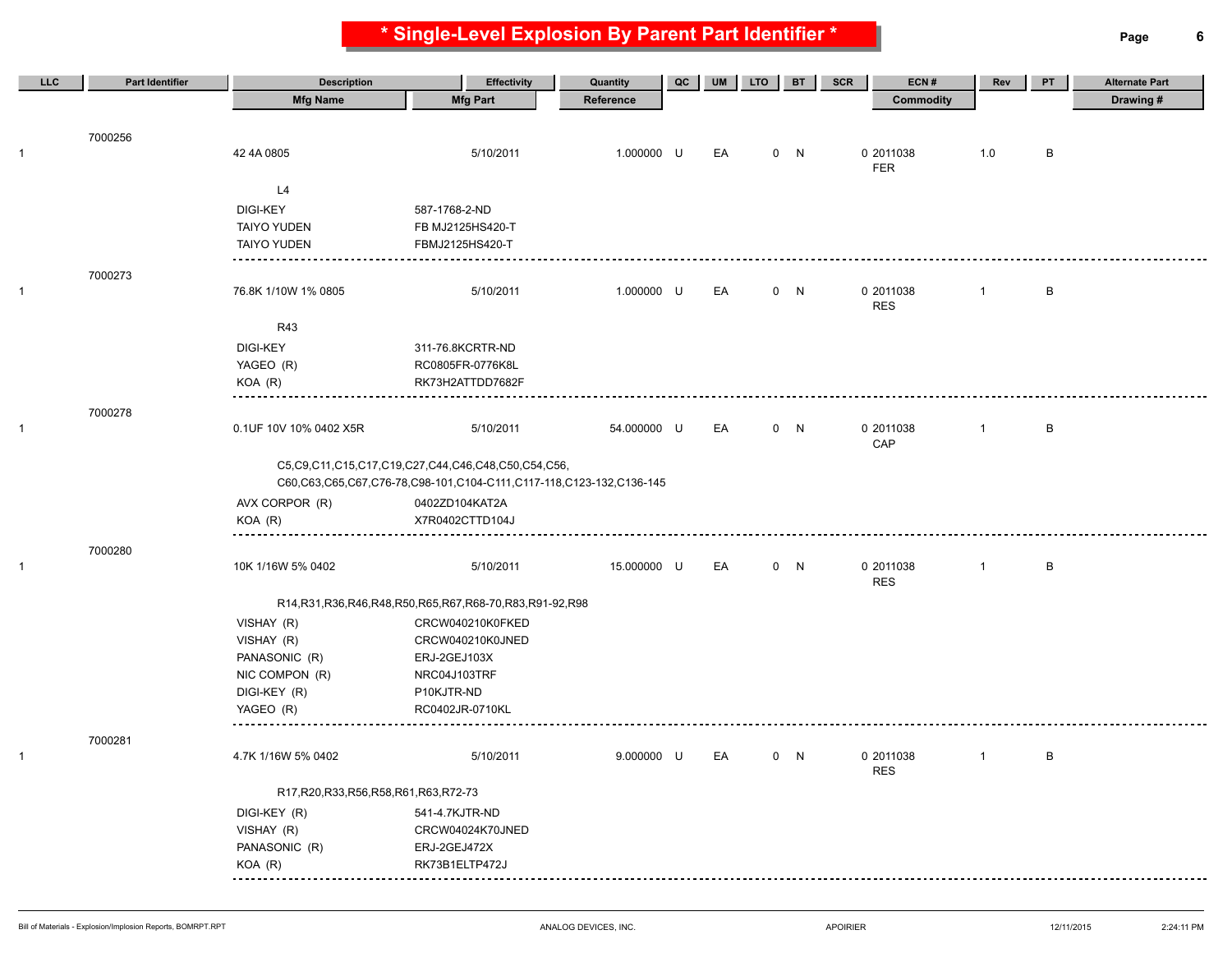**\* Single-Level Explosion By Parent Part Identifier \* Page 6**

| LLC          | <b>Part Identifier</b> | <b>Description</b>                        | <b>Effectivity</b>                                                           | Quantity    | QC | UM | <b>LTO</b> | <b>BT</b> | ECN#<br>SCR | Rev            | PT     | <b>Alternate Part</b> |
|--------------|------------------------|-------------------------------------------|------------------------------------------------------------------------------|-------------|----|----|------------|-----------|-------------|----------------|--------|-----------------------|
|              |                        | <b>Mfg Name</b>                           | <b>Mfg Part</b>                                                              | Reference   |    |    |            |           | Commodity   |                |        | Drawing#              |
|              |                        |                                           |                                                                              |             |    |    |            |           |             |                |        |                       |
|              | 7000256                |                                           |                                                                              |             |    |    |            |           |             |                |        |                       |
| $\mathbf{1}$ |                        | 42 4A 0805                                | 5/10/2011                                                                    | 1.000000 U  |    | EA |            | 0 N       | 0 2011038   | 1.0            | B      |                       |
|              |                        |                                           |                                                                              |             |    |    |            |           | <b>FER</b>  |                |        |                       |
|              |                        | L4                                        |                                                                              |             |    |    |            |           |             |                |        |                       |
|              |                        | <b>DIGI-KEY</b>                           | 587-1768-2-ND                                                                |             |    |    |            |           |             |                |        |                       |
|              |                        | <b>TAIYO YUDEN</b>                        | FB MJ2125HS420-T                                                             |             |    |    |            |           |             |                |        |                       |
|              |                        | <b>TAIYO YUDEN</b>                        | FBMJ2125HS420-T                                                              |             |    |    |            |           |             |                |        |                       |
|              | 7000273                |                                           |                                                                              |             |    |    |            |           |             |                |        |                       |
| $\mathbf{1}$ |                        | 76.8K 1/10W 1% 0805                       | 5/10/2011                                                                    | 1.000000 U  |    | EA |            | 0 N       | 0 2011038   | $\mathbf{1}$   | B      |                       |
|              |                        |                                           |                                                                              |             |    |    |            |           | <b>RES</b>  |                |        |                       |
|              |                        | R43                                       |                                                                              |             |    |    |            |           |             |                |        |                       |
|              |                        | <b>DIGI-KEY</b>                           | 311-76.8KCRTR-ND                                                             |             |    |    |            |           |             |                |        |                       |
|              |                        | YAGEO (R)                                 | RC0805FR-0776K8L                                                             |             |    |    |            |           |             |                |        |                       |
|              |                        | KOA (R)                                   | RK73H2ATTDD7682F                                                             |             |    |    |            |           |             |                |        |                       |
|              | 7000278                |                                           |                                                                              |             |    |    |            |           |             |                |        |                       |
| $\mathbf{1}$ |                        | 0.1UF 10V 10% 0402 X5R                    | 5/10/2011                                                                    | 54.000000 U |    | EA |            | 0 N       | 0 2011038   | -1             | $\,$ B |                       |
|              |                        |                                           |                                                                              |             |    |    |            |           | CAP         |                |        |                       |
|              |                        |                                           | C5,C9,C11,C15,C17,C19,C27,C44,C46,C48,C50,C54,C56,                           |             |    |    |            |           |             |                |        |                       |
|              |                        |                                           | C60, C63, C65, C67, C76-78, C98-101, C104-C111, C117-118, C123-132, C136-145 |             |    |    |            |           |             |                |        |                       |
|              |                        | AVX CORPOR (R)                            | 0402ZD104KAT2A                                                               |             |    |    |            |           |             |                |        |                       |
|              |                        | KOA (R)                                   | X7R0402CTTD104J                                                              |             |    |    |            |           |             |                |        |                       |
|              |                        |                                           |                                                                              |             |    |    |            |           |             |                |        |                       |
| $\mathbf{1}$ | 7000280                | 10K 1/16W 5% 0402                         | 5/10/2011                                                                    | 15.000000 U |    | EA |            | 0 N       | 0 2011038   | $\overline{1}$ | B      |                       |
|              |                        |                                           |                                                                              |             |    |    |            |           | <b>RES</b>  |                |        |                       |
|              |                        |                                           | R14, R31, R36, R46, R48, R50, R65, R67, R68-70, R83, R91-92, R98             |             |    |    |            |           |             |                |        |                       |
|              |                        | VISHAY (R)                                | CRCW040210K0FKED                                                             |             |    |    |            |           |             |                |        |                       |
|              |                        | VISHAY (R)                                | CRCW040210K0JNED                                                             |             |    |    |            |           |             |                |        |                       |
|              |                        | PANASONIC (R)                             | ERJ-2GEJ103X                                                                 |             |    |    |            |           |             |                |        |                       |
|              |                        | NIC COMPON (R)                            | NRC04J103TRF                                                                 |             |    |    |            |           |             |                |        |                       |
|              |                        | DIGI-KEY (R)                              | P10KJTR-ND                                                                   |             |    |    |            |           |             |                |        |                       |
|              |                        | YAGEO (R)                                 | RC0402JR-0710KL                                                              |             |    |    |            |           |             |                |        |                       |
|              |                        |                                           |                                                                              |             |    |    |            |           |             |                |        |                       |
| $\mathbf{1}$ | 7000281                | 4.7K 1/16W 5% 0402                        | 5/10/2011                                                                    | 9.000000 U  |    | EA |            | 0 N       | 0 2011038   | $\overline{1}$ | $\,$ B |                       |
|              |                        |                                           |                                                                              |             |    |    |            |           | <b>RES</b>  |                |        |                       |
|              |                        | R17, R20, R33, R56, R58, R61, R63, R72-73 |                                                                              |             |    |    |            |           |             |                |        |                       |
|              |                        | DIGI-KEY (R)                              | 541-4.7KJTR-ND                                                               |             |    |    |            |           |             |                |        |                       |
|              |                        | VISHAY (R)                                | CRCW04024K70JNED                                                             |             |    |    |            |           |             |                |        |                       |
|              |                        | PANASONIC (R)                             | ERJ-2GEJ472X                                                                 |             |    |    |            |           |             |                |        |                       |
|              |                        | KOA (R)                                   | RK73B1ELTP472J                                                               |             |    |    |            |           |             |                |        |                       |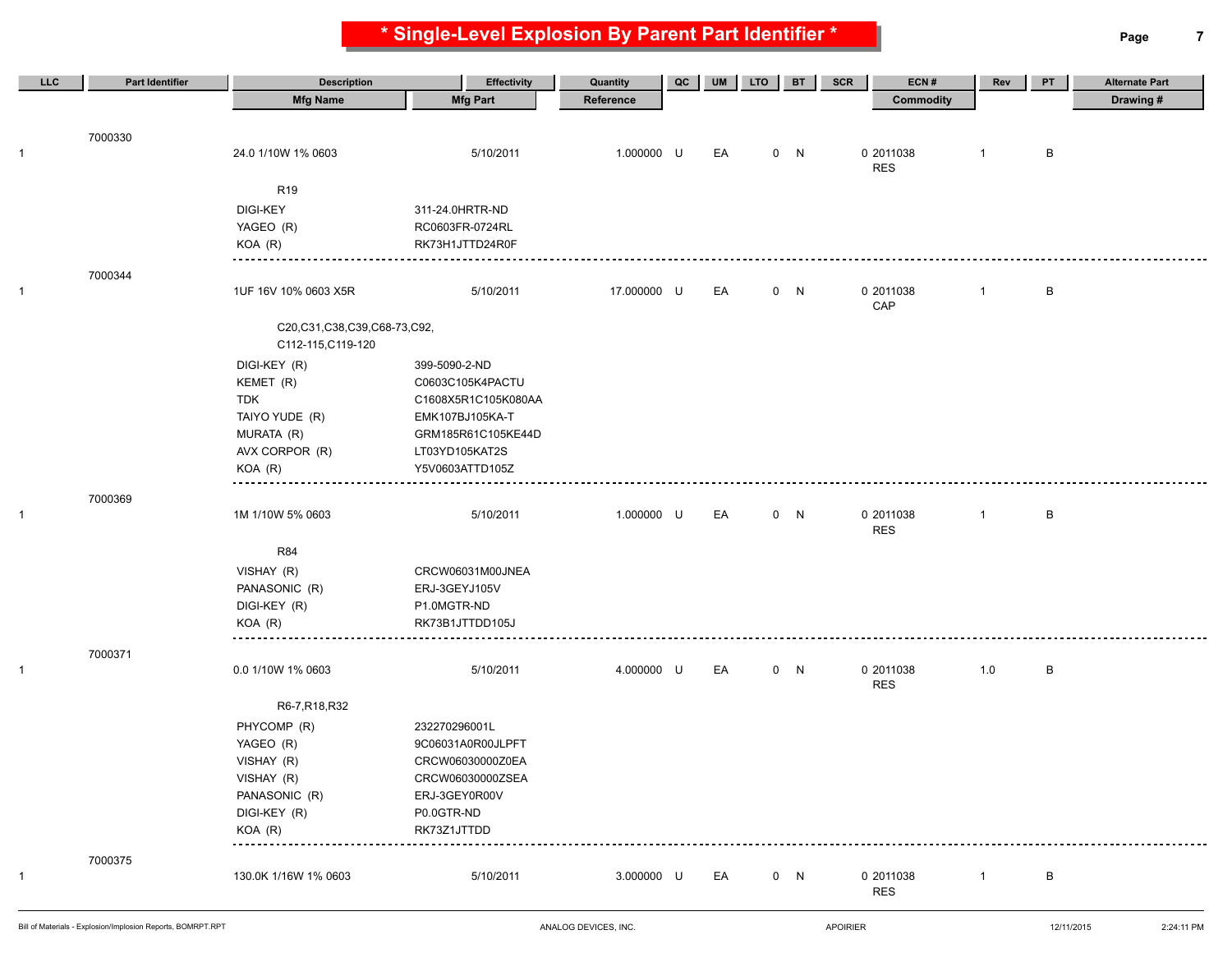**\* Single-Level Explosion By Parent Part Identifier \* Page 7**

| <b>Mfg Name</b><br><b>Mfg Part</b><br><b>Commodity</b><br>Drawing#<br>Reference<br>7000330<br>5/10/2011<br>1.000000 U<br>0 N<br>0 2011038<br>B<br>24.0 1/10W 1% 0603<br>EA<br>$\mathbf{1}$<br>$\mathbf{1}$<br><b>RES</b><br>R <sub>19</sub><br><b>DIGI-KEY</b><br>311-24.0HRTR-ND<br>YAGEO (R)<br>RC0603FR-0724RL<br>KOA (R)<br>RK73H1JTTD24R0F<br>7000344<br>0 N<br>0 2011038<br>B<br>$\mathbf{1}$<br>1UF 16V 10% 0603 X5R<br>5/10/2011<br>17.000000 U<br>EA<br>$\mathbf{1}$<br>CAP<br>C20,C31,C38,C39,C68-73,C92,<br>C112-115, C119-120<br>DIGI-KEY (R)<br>399-5090-2-ND<br>KEMET (R)<br>C0603C105K4PACTU<br><b>TDK</b><br>C1608X5R1C105K080AA<br>TAIYO YUDE (R)<br>EMK107BJ105KA-T<br>MURATA (R)<br>GRM185R61C105KE44D<br>AVX CORPOR (R)<br>LT03YD105KAT2S<br>$KOA$ $(R)$<br>Y5V0603ATTD105Z<br>7000369<br>0 N<br>B<br>1M 1/10W 5% 0603<br>5/10/2011<br>1.000000 U<br>EA<br>0 2011038<br>$\overline{1}$<br><b>RES</b><br><b>R84</b><br>VISHAY (R)<br>CRCW06031M00JNEA<br>PANASONIC (R)<br>ERJ-3GEYJ105V<br>DIGI-KEY (R)<br>P1.0MGTR-ND<br>$KOA$ $(R)$<br>RK73B1JTTDD105J<br>7000371<br>5/10/2011<br>4.000000 U<br>EA<br>0 2011038<br>1.0<br>B<br>0.0 1/10W 1% 0603<br>0 N<br>$\mathbf{1}$<br><b>RES</b><br>R6-7, R18, R32<br>PHYCOMP (R)<br>232270296001L<br>YAGEO (R)<br>9C06031A0R00JLPFT<br>CRCW06030000Z0EA<br>VISHAY (R)<br>VISHAY (R)<br>CRCW06030000ZSEA<br>PANASONIC (R)<br>ERJ-3GEY0R00V<br>DIGI-KEY (R)<br>P0.0GTR-ND<br>KOA (R)<br>RK73Z1JTTDD<br>7000375<br>3.000000 U<br>0 N<br>0 2011038<br>130.0K 1/16W 1% 0603<br>5/10/2011<br>EA<br>$\mathbf{1}$<br>B<br>$\mathbf{1}$ | LLC.         | <b>Part Identifier</b> | <b>Description</b> | <b>Effectivity</b> | Quantity | QC | <b>UM</b> | <b>LTO</b> | <b>BT</b> | SCR<br>ECN# | Rev | PT | <b>Alternate Part</b> |
|-------------------------------------------------------------------------------------------------------------------------------------------------------------------------------------------------------------------------------------------------------------------------------------------------------------------------------------------------------------------------------------------------------------------------------------------------------------------------------------------------------------------------------------------------------------------------------------------------------------------------------------------------------------------------------------------------------------------------------------------------------------------------------------------------------------------------------------------------------------------------------------------------------------------------------------------------------------------------------------------------------------------------------------------------------------------------------------------------------------------------------------------------------------------------------------------------------------------------------------------------------------------------------------------------------------------------------------------------------------------------------------------------------------------------------------------------------------------------------------------------------------------------------------------------------------------------------------------|--------------|------------------------|--------------------|--------------------|----------|----|-----------|------------|-----------|-------------|-----|----|-----------------------|
|                                                                                                                                                                                                                                                                                                                                                                                                                                                                                                                                                                                                                                                                                                                                                                                                                                                                                                                                                                                                                                                                                                                                                                                                                                                                                                                                                                                                                                                                                                                                                                                           |              |                        |                    |                    |          |    |           |            |           |             |     |    |                       |
|                                                                                                                                                                                                                                                                                                                                                                                                                                                                                                                                                                                                                                                                                                                                                                                                                                                                                                                                                                                                                                                                                                                                                                                                                                                                                                                                                                                                                                                                                                                                                                                           |              |                        |                    |                    |          |    |           |            |           |             |     |    |                       |
|                                                                                                                                                                                                                                                                                                                                                                                                                                                                                                                                                                                                                                                                                                                                                                                                                                                                                                                                                                                                                                                                                                                                                                                                                                                                                                                                                                                                                                                                                                                                                                                           |              |                        |                    |                    |          |    |           |            |           |             |     |    |                       |
|                                                                                                                                                                                                                                                                                                                                                                                                                                                                                                                                                                                                                                                                                                                                                                                                                                                                                                                                                                                                                                                                                                                                                                                                                                                                                                                                                                                                                                                                                                                                                                                           |              |                        |                    |                    |          |    |           |            |           |             |     |    |                       |
|                                                                                                                                                                                                                                                                                                                                                                                                                                                                                                                                                                                                                                                                                                                                                                                                                                                                                                                                                                                                                                                                                                                                                                                                                                                                                                                                                                                                                                                                                                                                                                                           |              |                        |                    |                    |          |    |           |            |           |             |     |    |                       |
|                                                                                                                                                                                                                                                                                                                                                                                                                                                                                                                                                                                                                                                                                                                                                                                                                                                                                                                                                                                                                                                                                                                                                                                                                                                                                                                                                                                                                                                                                                                                                                                           |              |                        |                    |                    |          |    |           |            |           |             |     |    |                       |
|                                                                                                                                                                                                                                                                                                                                                                                                                                                                                                                                                                                                                                                                                                                                                                                                                                                                                                                                                                                                                                                                                                                                                                                                                                                                                                                                                                                                                                                                                                                                                                                           |              |                        |                    |                    |          |    |           |            |           |             |     |    |                       |
|                                                                                                                                                                                                                                                                                                                                                                                                                                                                                                                                                                                                                                                                                                                                                                                                                                                                                                                                                                                                                                                                                                                                                                                                                                                                                                                                                                                                                                                                                                                                                                                           |              |                        |                    |                    |          |    |           |            |           |             |     |    |                       |
|                                                                                                                                                                                                                                                                                                                                                                                                                                                                                                                                                                                                                                                                                                                                                                                                                                                                                                                                                                                                                                                                                                                                                                                                                                                                                                                                                                                                                                                                                                                                                                                           |              |                        |                    |                    |          |    |           |            |           |             |     |    |                       |
|                                                                                                                                                                                                                                                                                                                                                                                                                                                                                                                                                                                                                                                                                                                                                                                                                                                                                                                                                                                                                                                                                                                                                                                                                                                                                                                                                                                                                                                                                                                                                                                           |              |                        |                    |                    |          |    |           |            |           |             |     |    |                       |
|                                                                                                                                                                                                                                                                                                                                                                                                                                                                                                                                                                                                                                                                                                                                                                                                                                                                                                                                                                                                                                                                                                                                                                                                                                                                                                                                                                                                                                                                                                                                                                                           |              |                        |                    |                    |          |    |           |            |           |             |     |    |                       |
|                                                                                                                                                                                                                                                                                                                                                                                                                                                                                                                                                                                                                                                                                                                                                                                                                                                                                                                                                                                                                                                                                                                                                                                                                                                                                                                                                                                                                                                                                                                                                                                           |              |                        |                    |                    |          |    |           |            |           |             |     |    |                       |
|                                                                                                                                                                                                                                                                                                                                                                                                                                                                                                                                                                                                                                                                                                                                                                                                                                                                                                                                                                                                                                                                                                                                                                                                                                                                                                                                                                                                                                                                                                                                                                                           |              |                        |                    |                    |          |    |           |            |           |             |     |    |                       |
|                                                                                                                                                                                                                                                                                                                                                                                                                                                                                                                                                                                                                                                                                                                                                                                                                                                                                                                                                                                                                                                                                                                                                                                                                                                                                                                                                                                                                                                                                                                                                                                           |              |                        |                    |                    |          |    |           |            |           |             |     |    |                       |
|                                                                                                                                                                                                                                                                                                                                                                                                                                                                                                                                                                                                                                                                                                                                                                                                                                                                                                                                                                                                                                                                                                                                                                                                                                                                                                                                                                                                                                                                                                                                                                                           |              |                        |                    |                    |          |    |           |            |           |             |     |    |                       |
|                                                                                                                                                                                                                                                                                                                                                                                                                                                                                                                                                                                                                                                                                                                                                                                                                                                                                                                                                                                                                                                                                                                                                                                                                                                                                                                                                                                                                                                                                                                                                                                           |              |                        |                    |                    |          |    |           |            |           |             |     |    |                       |
|                                                                                                                                                                                                                                                                                                                                                                                                                                                                                                                                                                                                                                                                                                                                                                                                                                                                                                                                                                                                                                                                                                                                                                                                                                                                                                                                                                                                                                                                                                                                                                                           |              |                        |                    |                    |          |    |           |            |           |             |     |    |                       |
|                                                                                                                                                                                                                                                                                                                                                                                                                                                                                                                                                                                                                                                                                                                                                                                                                                                                                                                                                                                                                                                                                                                                                                                                                                                                                                                                                                                                                                                                                                                                                                                           |              |                        |                    |                    |          |    |           |            |           |             |     |    |                       |
|                                                                                                                                                                                                                                                                                                                                                                                                                                                                                                                                                                                                                                                                                                                                                                                                                                                                                                                                                                                                                                                                                                                                                                                                                                                                                                                                                                                                                                                                                                                                                                                           |              |                        |                    |                    |          |    |           |            |           |             |     |    |                       |
|                                                                                                                                                                                                                                                                                                                                                                                                                                                                                                                                                                                                                                                                                                                                                                                                                                                                                                                                                                                                                                                                                                                                                                                                                                                                                                                                                                                                                                                                                                                                                                                           |              |                        |                    |                    |          |    |           |            |           |             |     |    |                       |
|                                                                                                                                                                                                                                                                                                                                                                                                                                                                                                                                                                                                                                                                                                                                                                                                                                                                                                                                                                                                                                                                                                                                                                                                                                                                                                                                                                                                                                                                                                                                                                                           |              |                        |                    |                    |          |    |           |            |           |             |     |    |                       |
|                                                                                                                                                                                                                                                                                                                                                                                                                                                                                                                                                                                                                                                                                                                                                                                                                                                                                                                                                                                                                                                                                                                                                                                                                                                                                                                                                                                                                                                                                                                                                                                           | $\mathbf{1}$ |                        |                    |                    |          |    |           |            |           |             |     |    |                       |
|                                                                                                                                                                                                                                                                                                                                                                                                                                                                                                                                                                                                                                                                                                                                                                                                                                                                                                                                                                                                                                                                                                                                                                                                                                                                                                                                                                                                                                                                                                                                                                                           |              |                        |                    |                    |          |    |           |            |           |             |     |    |                       |
|                                                                                                                                                                                                                                                                                                                                                                                                                                                                                                                                                                                                                                                                                                                                                                                                                                                                                                                                                                                                                                                                                                                                                                                                                                                                                                                                                                                                                                                                                                                                                                                           |              |                        |                    |                    |          |    |           |            |           |             |     |    |                       |
|                                                                                                                                                                                                                                                                                                                                                                                                                                                                                                                                                                                                                                                                                                                                                                                                                                                                                                                                                                                                                                                                                                                                                                                                                                                                                                                                                                                                                                                                                                                                                                                           |              |                        |                    |                    |          |    |           |            |           |             |     |    |                       |
|                                                                                                                                                                                                                                                                                                                                                                                                                                                                                                                                                                                                                                                                                                                                                                                                                                                                                                                                                                                                                                                                                                                                                                                                                                                                                                                                                                                                                                                                                                                                                                                           |              |                        |                    |                    |          |    |           |            |           |             |     |    |                       |
|                                                                                                                                                                                                                                                                                                                                                                                                                                                                                                                                                                                                                                                                                                                                                                                                                                                                                                                                                                                                                                                                                                                                                                                                                                                                                                                                                                                                                                                                                                                                                                                           |              |                        |                    |                    |          |    |           |            |           |             |     |    |                       |
|                                                                                                                                                                                                                                                                                                                                                                                                                                                                                                                                                                                                                                                                                                                                                                                                                                                                                                                                                                                                                                                                                                                                                                                                                                                                                                                                                                                                                                                                                                                                                                                           |              |                        |                    |                    |          |    |           |            |           |             |     |    |                       |
|                                                                                                                                                                                                                                                                                                                                                                                                                                                                                                                                                                                                                                                                                                                                                                                                                                                                                                                                                                                                                                                                                                                                                                                                                                                                                                                                                                                                                                                                                                                                                                                           |              |                        |                    |                    |          |    |           |            |           |             |     |    |                       |
|                                                                                                                                                                                                                                                                                                                                                                                                                                                                                                                                                                                                                                                                                                                                                                                                                                                                                                                                                                                                                                                                                                                                                                                                                                                                                                                                                                                                                                                                                                                                                                                           |              |                        |                    |                    |          |    |           |            |           |             |     |    |                       |
|                                                                                                                                                                                                                                                                                                                                                                                                                                                                                                                                                                                                                                                                                                                                                                                                                                                                                                                                                                                                                                                                                                                                                                                                                                                                                                                                                                                                                                                                                                                                                                                           |              |                        |                    |                    |          |    |           |            |           |             |     |    |                       |
|                                                                                                                                                                                                                                                                                                                                                                                                                                                                                                                                                                                                                                                                                                                                                                                                                                                                                                                                                                                                                                                                                                                                                                                                                                                                                                                                                                                                                                                                                                                                                                                           |              |                        |                    |                    |          |    |           |            |           |             |     |    |                       |
|                                                                                                                                                                                                                                                                                                                                                                                                                                                                                                                                                                                                                                                                                                                                                                                                                                                                                                                                                                                                                                                                                                                                                                                                                                                                                                                                                                                                                                                                                                                                                                                           |              |                        |                    |                    |          |    |           |            |           |             |     |    |                       |
|                                                                                                                                                                                                                                                                                                                                                                                                                                                                                                                                                                                                                                                                                                                                                                                                                                                                                                                                                                                                                                                                                                                                                                                                                                                                                                                                                                                                                                                                                                                                                                                           |              |                        |                    |                    |          |    |           |            |           |             |     |    |                       |
|                                                                                                                                                                                                                                                                                                                                                                                                                                                                                                                                                                                                                                                                                                                                                                                                                                                                                                                                                                                                                                                                                                                                                                                                                                                                                                                                                                                                                                                                                                                                                                                           |              |                        |                    |                    |          |    |           |            |           |             |     |    |                       |
|                                                                                                                                                                                                                                                                                                                                                                                                                                                                                                                                                                                                                                                                                                                                                                                                                                                                                                                                                                                                                                                                                                                                                                                                                                                                                                                                                                                                                                                                                                                                                                                           |              |                        |                    |                    |          |    |           |            |           |             |     |    |                       |
|                                                                                                                                                                                                                                                                                                                                                                                                                                                                                                                                                                                                                                                                                                                                                                                                                                                                                                                                                                                                                                                                                                                                                                                                                                                                                                                                                                                                                                                                                                                                                                                           |              |                        |                    |                    |          |    |           |            |           |             |     |    |                       |
|                                                                                                                                                                                                                                                                                                                                                                                                                                                                                                                                                                                                                                                                                                                                                                                                                                                                                                                                                                                                                                                                                                                                                                                                                                                                                                                                                                                                                                                                                                                                                                                           |              |                        |                    |                    |          |    |           |            |           |             |     |    |                       |
|                                                                                                                                                                                                                                                                                                                                                                                                                                                                                                                                                                                                                                                                                                                                                                                                                                                                                                                                                                                                                                                                                                                                                                                                                                                                                                                                                                                                                                                                                                                                                                                           |              |                        |                    |                    |          |    |           |            |           |             |     |    |                       |
|                                                                                                                                                                                                                                                                                                                                                                                                                                                                                                                                                                                                                                                                                                                                                                                                                                                                                                                                                                                                                                                                                                                                                                                                                                                                                                                                                                                                                                                                                                                                                                                           |              |                        |                    |                    |          |    |           |            |           |             |     |    |                       |
|                                                                                                                                                                                                                                                                                                                                                                                                                                                                                                                                                                                                                                                                                                                                                                                                                                                                                                                                                                                                                                                                                                                                                                                                                                                                                                                                                                                                                                                                                                                                                                                           |              |                        |                    |                    |          |    |           |            |           |             |     |    |                       |
|                                                                                                                                                                                                                                                                                                                                                                                                                                                                                                                                                                                                                                                                                                                                                                                                                                                                                                                                                                                                                                                                                                                                                                                                                                                                                                                                                                                                                                                                                                                                                                                           |              |                        |                    |                    |          |    |           |            |           | <b>RES</b>  |     |    |                       |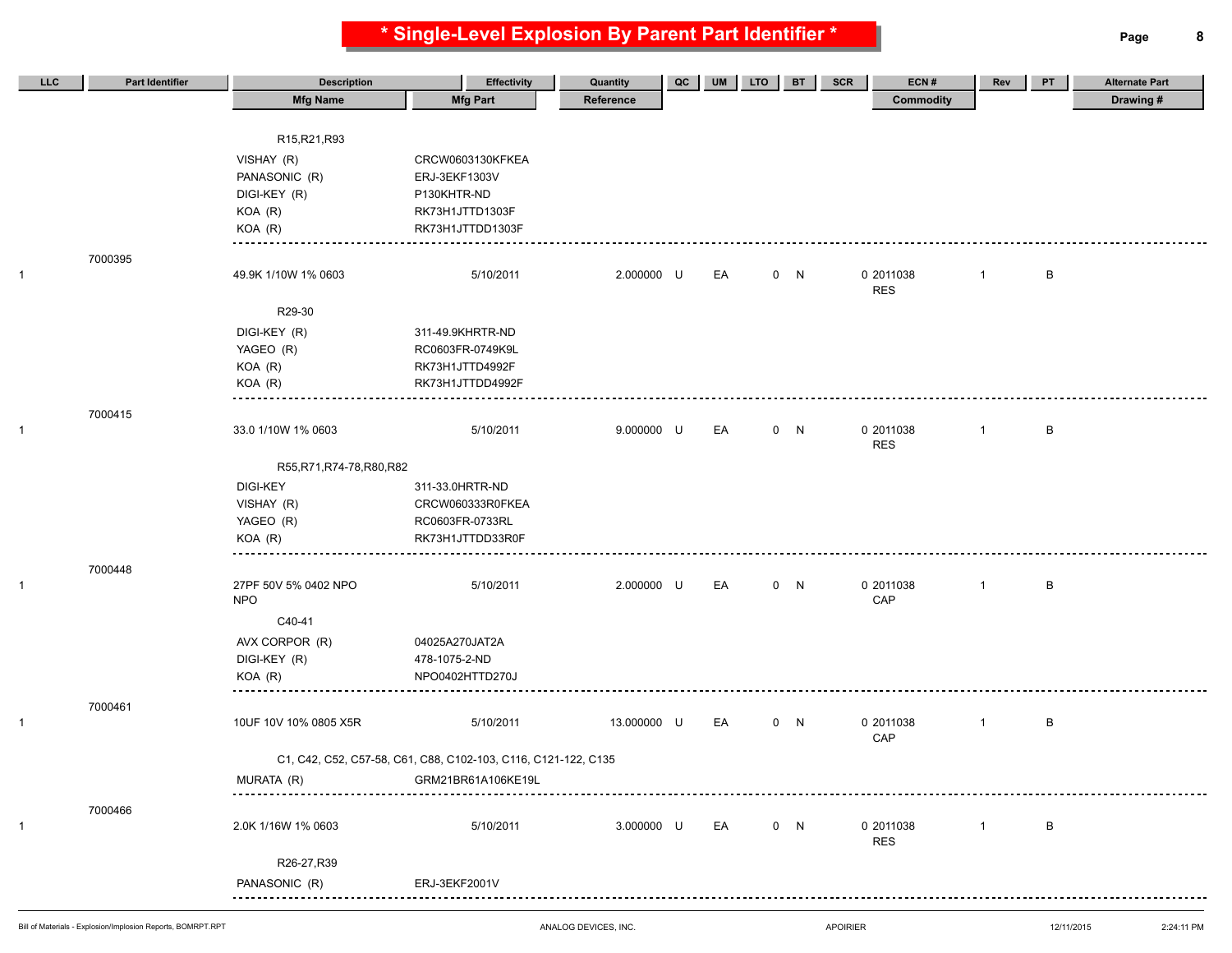**\* Single-Level Explosion By Parent Part Identifier \* Page 8**

| LLC | <b>Part Identifier</b> | <b>Description</b>         | <b>Effectivity</b>                                             | Quantity    | QC | <b>UM</b> | <b>LTO</b> | <b>BT</b> | SCR<br>ECN#             | Rev            | PT | <b>Alternate Part</b> |
|-----|------------------------|----------------------------|----------------------------------------------------------------|-------------|----|-----------|------------|-----------|-------------------------|----------------|----|-----------------------|
|     |                        | <b>Mfg Name</b>            | <b>Mfg Part</b>                                                | Reference   |    |           |            |           | Commodity               |                |    | Drawing #             |
|     |                        |                            |                                                                |             |    |           |            |           |                         |                |    |                       |
|     |                        | R15, R21, R93              |                                                                |             |    |           |            |           |                         |                |    |                       |
|     |                        | VISHAY (R)                 | CRCW0603130KFKEA                                               |             |    |           |            |           |                         |                |    |                       |
|     |                        | PANASONIC (R)              | ERJ-3EKF1303V                                                  |             |    |           |            |           |                         |                |    |                       |
|     |                        | DIGI-KEY (R)               | P130KHTR-ND                                                    |             |    |           |            |           |                         |                |    |                       |
|     |                        | KOA (R)                    | RK73H1JTTD1303F                                                |             |    |           |            |           |                         |                |    |                       |
|     |                        | KOA (R)                    | RK73H1JTTDD1303F                                               |             |    |           |            |           |                         |                |    |                       |
|     | 7000395                |                            |                                                                |             |    |           |            |           |                         |                |    |                       |
|     |                        | 49.9K 1/10W 1% 0603        | 5/10/2011                                                      | 2.000000 U  |    | EA        |            | 0 N       | 0 2011038               | $\overline{1}$ | B  |                       |
|     |                        |                            |                                                                |             |    |           |            |           | <b>RES</b>              |                |    |                       |
|     |                        | R29-30                     |                                                                |             |    |           |            |           |                         |                |    |                       |
|     |                        | DIGI-KEY (R)               | 311-49.9KHRTR-ND                                               |             |    |           |            |           |                         |                |    |                       |
|     |                        | YAGEO (R)                  | RC0603FR-0749K9L                                               |             |    |           |            |           |                         |                |    |                       |
|     |                        | KOA (R)                    | RK73H1JTTD4992F                                                |             |    |           |            |           |                         |                |    |                       |
|     |                        | KOA (R)                    | RK73H1JTTDD4992F                                               |             |    |           |            |           |                         |                |    |                       |
|     | 7000415                |                            |                                                                |             |    |           |            |           |                         |                |    |                       |
|     |                        | 33.0 1/10W 1% 0603         | 5/10/2011                                                      | 9.000000 U  |    | EA        |            | 0 N       | 0 2011038               | $\overline{1}$ | В  |                       |
|     |                        |                            |                                                                |             |    |           |            |           | <b>RES</b>              |                |    |                       |
|     |                        | R55, R71, R74-78, R80, R82 |                                                                |             |    |           |            |           |                         |                |    |                       |
|     |                        | <b>DIGI-KEY</b>            | 311-33.0HRTR-ND                                                |             |    |           |            |           |                         |                |    |                       |
|     |                        | VISHAY (R)                 | CRCW060333R0FKEA                                               |             |    |           |            |           |                         |                |    |                       |
|     |                        | YAGEO (R)                  | RC0603FR-0733RL                                                |             |    |           |            |           |                         |                |    |                       |
|     |                        | KOA (R)                    | RK73H1JTTDD33R0F                                               |             |    |           |            |           |                         |                |    |                       |
|     | 7000448                |                            |                                                                |             |    |           |            |           |                         |                |    |                       |
|     |                        | 27PF 50V 5% 0402 NPO       | 5/10/2011                                                      | 2.000000 U  |    | EA        |            | 0 N       | 0 2011038               | $\mathbf{1}$   | В  |                       |
|     |                        | <b>NPO</b>                 |                                                                |             |    |           |            |           | CAP                     |                |    |                       |
|     |                        | C40-41                     |                                                                |             |    |           |            |           |                         |                |    |                       |
|     |                        | AVX CORPOR (R)             | 04025A270JAT2A                                                 |             |    |           |            |           |                         |                |    |                       |
|     |                        | DIGI-KEY (R)               | 478-1075-2-ND                                                  |             |    |           |            |           |                         |                |    |                       |
|     |                        | KOA (R)                    | NPO0402HTTD270J                                                |             |    |           |            |           |                         |                |    |                       |
|     |                        |                            |                                                                |             |    |           |            |           |                         |                |    |                       |
|     | 7000461                | 10UF 10V 10% 0805 X5R      | 5/10/2011                                                      | 13.000000 U |    | EA        |            | 0 N       | 0 2011038               | $\overline{1}$ | B  |                       |
|     |                        |                            |                                                                |             |    |           |            |           | CAP                     |                |    |                       |
|     |                        |                            | C1, C42, C52, C57-58, C61, C88, C102-103, C116, C121-122, C135 |             |    |           |            |           |                         |                |    |                       |
|     |                        | MURATA (R)                 | GRM21BR61A106KE19L                                             |             |    |           |            |           |                         |                |    |                       |
|     |                        |                            |                                                                |             |    |           |            |           |                         |                |    |                       |
|     | 7000466                |                            |                                                                |             |    |           |            |           |                         |                |    |                       |
|     |                        | 2.0K 1/16W 1% 0603         | 5/10/2011                                                      | 3.000000 U  |    | EA        |            | 0 N       | 0 2011038<br><b>RES</b> | $\mathbf{1}$   | B  |                       |
|     |                        |                            |                                                                |             |    |           |            |           |                         |                |    |                       |
|     |                        | R26-27, R39                |                                                                |             |    |           |            |           |                         |                |    |                       |
|     |                        | PANASONIC (R)<br><u></u>   | ERJ-3EKF2001V                                                  |             |    |           |            |           |                         |                |    |                       |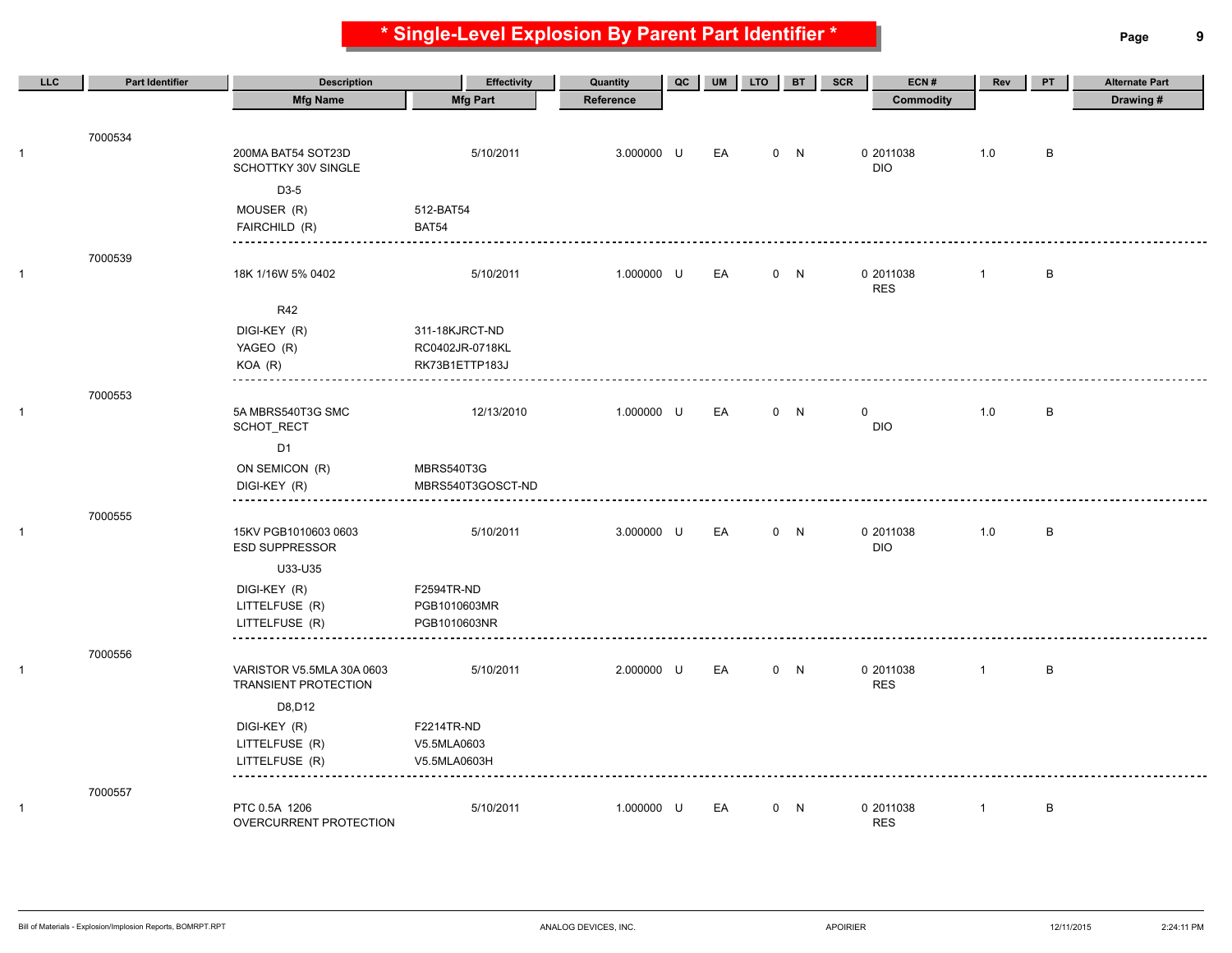**\* Single-Level Explosion By Parent Part Identifier \* Page 9**

| <b>Mfg Part</b><br>Drawing#<br><b>Mfg Name</b><br>Reference<br><b>Commodity</b><br>7000534<br>200MA BAT54 SOT23D<br>5/10/2011<br>3.000000 U<br>EA<br>0 N<br>0 2011038<br>1.0<br>B<br>$\mathbf{1}$<br>SCHOTTKY 30V SINGLE<br><b>DIO</b><br>D3-5<br>MOUSER (R)<br>512-BAT54<br>FAIRCHILD (R)<br>BAT54<br>-------------<br>7000539<br>5/10/2011<br>1.000000 U<br>EA<br>0 N<br>0 2011038<br>B<br>$\mathbf{1}$<br>18K 1/16W 5% 0402<br>$\mathbf{1}$<br><b>RES</b><br><b>R42</b><br>DIGI-KEY (R)<br>311-18KJRCT-ND<br>YAGEO (R)<br>RC0402JR-0718KL<br>$KOA$ $(R)$<br>RK73B1ETTP183J<br>7000553<br>$\mathbf{1}$<br>5A MBRS540T3G SMC<br>12/13/2010<br>1.000000 U<br>EA<br>0 N<br>0<br>1.0<br>B<br><b>DIO</b><br>SCHOT_RECT<br>D <sub>1</sub><br>ON SEMICON (R)<br>MBRS540T3G<br>DIGI-KEY (R)<br>MBRS540T3GOSCT-ND<br>7000555<br>15KV PGB1010603 0603<br>5/10/2011<br>3.000000 U<br>EA<br>0 N<br>0 2011038<br>1.0<br>B<br>$\mathbf{1}$<br><b>ESD SUPPRESSOR</b><br><b>DIO</b><br>U33-U35<br>DIGI-KEY (R)<br>F2594TR-ND<br>LITTELFUSE (R)<br>PGB1010603MR<br>LITTELFUSE (R)<br>PGB1010603NR<br>7000556<br>$\mathbf{1}$<br>VARISTOR V5.5MLA 30A 0603<br>5/10/2011<br>2.000000 U<br>EA<br>0 N<br>0 2011038<br>$\mathbf{1}$<br>B<br><b>RES</b><br><b>TRANSIENT PROTECTION</b><br>D8, D12<br>F2214TR-ND<br>DIGI-KEY (R)<br>LITTELFUSE (R)<br>V5.5MLA0603<br>LITTELFUSE (R)<br>V5.5MLA0603H<br>7000557<br>1.000000 U<br>0 N | LLC          | <b>Part Identifier</b> | <b>Description</b> | <b>Effectivity</b> | Quantity | QC | <b>UM</b> | <b>LTO</b> | <b>BT</b> | SCR<br>ECN# | Rev          | PT | <b>Alternate Part</b> |
|---------------------------------------------------------------------------------------------------------------------------------------------------------------------------------------------------------------------------------------------------------------------------------------------------------------------------------------------------------------------------------------------------------------------------------------------------------------------------------------------------------------------------------------------------------------------------------------------------------------------------------------------------------------------------------------------------------------------------------------------------------------------------------------------------------------------------------------------------------------------------------------------------------------------------------------------------------------------------------------------------------------------------------------------------------------------------------------------------------------------------------------------------------------------------------------------------------------------------------------------------------------------------------------------------------------------------------------------------------------------------------------------------------------|--------------|------------------------|--------------------|--------------------|----------|----|-----------|------------|-----------|-------------|--------------|----|-----------------------|
|                                                                                                                                                                                                                                                                                                                                                                                                                                                                                                                                                                                                                                                                                                                                                                                                                                                                                                                                                                                                                                                                                                                                                                                                                                                                                                                                                                                                               |              |                        |                    |                    |          |    |           |            |           |             |              |    |                       |
|                                                                                                                                                                                                                                                                                                                                                                                                                                                                                                                                                                                                                                                                                                                                                                                                                                                                                                                                                                                                                                                                                                                                                                                                                                                                                                                                                                                                               |              |                        |                    |                    |          |    |           |            |           |             |              |    |                       |
|                                                                                                                                                                                                                                                                                                                                                                                                                                                                                                                                                                                                                                                                                                                                                                                                                                                                                                                                                                                                                                                                                                                                                                                                                                                                                                                                                                                                               |              |                        |                    |                    |          |    |           |            |           |             |              |    |                       |
|                                                                                                                                                                                                                                                                                                                                                                                                                                                                                                                                                                                                                                                                                                                                                                                                                                                                                                                                                                                                                                                                                                                                                                                                                                                                                                                                                                                                               |              |                        |                    |                    |          |    |           |            |           |             |              |    |                       |
|                                                                                                                                                                                                                                                                                                                                                                                                                                                                                                                                                                                                                                                                                                                                                                                                                                                                                                                                                                                                                                                                                                                                                                                                                                                                                                                                                                                                               |              |                        |                    |                    |          |    |           |            |           |             |              |    |                       |
|                                                                                                                                                                                                                                                                                                                                                                                                                                                                                                                                                                                                                                                                                                                                                                                                                                                                                                                                                                                                                                                                                                                                                                                                                                                                                                                                                                                                               |              |                        |                    |                    |          |    |           |            |           |             |              |    |                       |
|                                                                                                                                                                                                                                                                                                                                                                                                                                                                                                                                                                                                                                                                                                                                                                                                                                                                                                                                                                                                                                                                                                                                                                                                                                                                                                                                                                                                               |              |                        |                    |                    |          |    |           |            |           |             |              |    |                       |
|                                                                                                                                                                                                                                                                                                                                                                                                                                                                                                                                                                                                                                                                                                                                                                                                                                                                                                                                                                                                                                                                                                                                                                                                                                                                                                                                                                                                               |              |                        |                    |                    |          |    |           |            |           |             |              |    |                       |
|                                                                                                                                                                                                                                                                                                                                                                                                                                                                                                                                                                                                                                                                                                                                                                                                                                                                                                                                                                                                                                                                                                                                                                                                                                                                                                                                                                                                               |              |                        |                    |                    |          |    |           |            |           |             |              |    |                       |
|                                                                                                                                                                                                                                                                                                                                                                                                                                                                                                                                                                                                                                                                                                                                                                                                                                                                                                                                                                                                                                                                                                                                                                                                                                                                                                                                                                                                               |              |                        |                    |                    |          |    |           |            |           |             |              |    |                       |
|                                                                                                                                                                                                                                                                                                                                                                                                                                                                                                                                                                                                                                                                                                                                                                                                                                                                                                                                                                                                                                                                                                                                                                                                                                                                                                                                                                                                               |              |                        |                    |                    |          |    |           |            |           |             |              |    |                       |
|                                                                                                                                                                                                                                                                                                                                                                                                                                                                                                                                                                                                                                                                                                                                                                                                                                                                                                                                                                                                                                                                                                                                                                                                                                                                                                                                                                                                               |              |                        |                    |                    |          |    |           |            |           |             |              |    |                       |
|                                                                                                                                                                                                                                                                                                                                                                                                                                                                                                                                                                                                                                                                                                                                                                                                                                                                                                                                                                                                                                                                                                                                                                                                                                                                                                                                                                                                               |              |                        |                    |                    |          |    |           |            |           |             |              |    |                       |
|                                                                                                                                                                                                                                                                                                                                                                                                                                                                                                                                                                                                                                                                                                                                                                                                                                                                                                                                                                                                                                                                                                                                                                                                                                                                                                                                                                                                               |              |                        |                    |                    |          |    |           |            |           |             |              |    |                       |
|                                                                                                                                                                                                                                                                                                                                                                                                                                                                                                                                                                                                                                                                                                                                                                                                                                                                                                                                                                                                                                                                                                                                                                                                                                                                                                                                                                                                               |              |                        |                    |                    |          |    |           |            |           |             |              |    |                       |
|                                                                                                                                                                                                                                                                                                                                                                                                                                                                                                                                                                                                                                                                                                                                                                                                                                                                                                                                                                                                                                                                                                                                                                                                                                                                                                                                                                                                               |              |                        |                    |                    |          |    |           |            |           |             |              |    |                       |
|                                                                                                                                                                                                                                                                                                                                                                                                                                                                                                                                                                                                                                                                                                                                                                                                                                                                                                                                                                                                                                                                                                                                                                                                                                                                                                                                                                                                               |              |                        |                    |                    |          |    |           |            |           |             |              |    |                       |
|                                                                                                                                                                                                                                                                                                                                                                                                                                                                                                                                                                                                                                                                                                                                                                                                                                                                                                                                                                                                                                                                                                                                                                                                                                                                                                                                                                                                               |              |                        |                    |                    |          |    |           |            |           |             |              |    |                       |
|                                                                                                                                                                                                                                                                                                                                                                                                                                                                                                                                                                                                                                                                                                                                                                                                                                                                                                                                                                                                                                                                                                                                                                                                                                                                                                                                                                                                               |              |                        |                    |                    |          |    |           |            |           |             |              |    |                       |
|                                                                                                                                                                                                                                                                                                                                                                                                                                                                                                                                                                                                                                                                                                                                                                                                                                                                                                                                                                                                                                                                                                                                                                                                                                                                                                                                                                                                               |              |                        |                    |                    |          |    |           |            |           |             |              |    |                       |
|                                                                                                                                                                                                                                                                                                                                                                                                                                                                                                                                                                                                                                                                                                                                                                                                                                                                                                                                                                                                                                                                                                                                                                                                                                                                                                                                                                                                               |              |                        |                    |                    |          |    |           |            |           |             |              |    |                       |
|                                                                                                                                                                                                                                                                                                                                                                                                                                                                                                                                                                                                                                                                                                                                                                                                                                                                                                                                                                                                                                                                                                                                                                                                                                                                                                                                                                                                               |              |                        |                    |                    |          |    |           |            |           |             |              |    |                       |
|                                                                                                                                                                                                                                                                                                                                                                                                                                                                                                                                                                                                                                                                                                                                                                                                                                                                                                                                                                                                                                                                                                                                                                                                                                                                                                                                                                                                               |              |                        |                    |                    |          |    |           |            |           |             |              |    |                       |
|                                                                                                                                                                                                                                                                                                                                                                                                                                                                                                                                                                                                                                                                                                                                                                                                                                                                                                                                                                                                                                                                                                                                                                                                                                                                                                                                                                                                               |              |                        |                    |                    |          |    |           |            |           |             |              |    |                       |
|                                                                                                                                                                                                                                                                                                                                                                                                                                                                                                                                                                                                                                                                                                                                                                                                                                                                                                                                                                                                                                                                                                                                                                                                                                                                                                                                                                                                               |              |                        |                    |                    |          |    |           |            |           |             |              |    |                       |
|                                                                                                                                                                                                                                                                                                                                                                                                                                                                                                                                                                                                                                                                                                                                                                                                                                                                                                                                                                                                                                                                                                                                                                                                                                                                                                                                                                                                               |              |                        |                    |                    |          |    |           |            |           |             |              |    |                       |
|                                                                                                                                                                                                                                                                                                                                                                                                                                                                                                                                                                                                                                                                                                                                                                                                                                                                                                                                                                                                                                                                                                                                                                                                                                                                                                                                                                                                               |              |                        |                    |                    |          |    |           |            |           |             |              |    |                       |
|                                                                                                                                                                                                                                                                                                                                                                                                                                                                                                                                                                                                                                                                                                                                                                                                                                                                                                                                                                                                                                                                                                                                                                                                                                                                                                                                                                                                               |              |                        |                    |                    |          |    |           |            |           |             |              |    |                       |
|                                                                                                                                                                                                                                                                                                                                                                                                                                                                                                                                                                                                                                                                                                                                                                                                                                                                                                                                                                                                                                                                                                                                                                                                                                                                                                                                                                                                               |              |                        |                    |                    |          |    |           |            |           |             |              |    |                       |
|                                                                                                                                                                                                                                                                                                                                                                                                                                                                                                                                                                                                                                                                                                                                                                                                                                                                                                                                                                                                                                                                                                                                                                                                                                                                                                                                                                                                               |              |                        |                    |                    |          |    |           |            |           |             |              |    |                       |
|                                                                                                                                                                                                                                                                                                                                                                                                                                                                                                                                                                                                                                                                                                                                                                                                                                                                                                                                                                                                                                                                                                                                                                                                                                                                                                                                                                                                               |              |                        |                    |                    |          |    |           |            |           |             |              |    |                       |
|                                                                                                                                                                                                                                                                                                                                                                                                                                                                                                                                                                                                                                                                                                                                                                                                                                                                                                                                                                                                                                                                                                                                                                                                                                                                                                                                                                                                               |              |                        |                    |                    |          |    |           |            |           |             |              |    |                       |
|                                                                                                                                                                                                                                                                                                                                                                                                                                                                                                                                                                                                                                                                                                                                                                                                                                                                                                                                                                                                                                                                                                                                                                                                                                                                                                                                                                                                               |              |                        |                    |                    |          |    |           |            |           |             |              |    |                       |
|                                                                                                                                                                                                                                                                                                                                                                                                                                                                                                                                                                                                                                                                                                                                                                                                                                                                                                                                                                                                                                                                                                                                                                                                                                                                                                                                                                                                               |              |                        |                    |                    |          |    |           |            |           |             |              |    |                       |
| OVERCURRENT PROTECTION<br><b>RES</b>                                                                                                                                                                                                                                                                                                                                                                                                                                                                                                                                                                                                                                                                                                                                                                                                                                                                                                                                                                                                                                                                                                                                                                                                                                                                                                                                                                          | $\mathbf{1}$ |                        | PTC 0.5A 1206      | 5/10/2011          |          |    | EA        |            |           | 0 2011038   | $\mathbf{1}$ | B  |                       |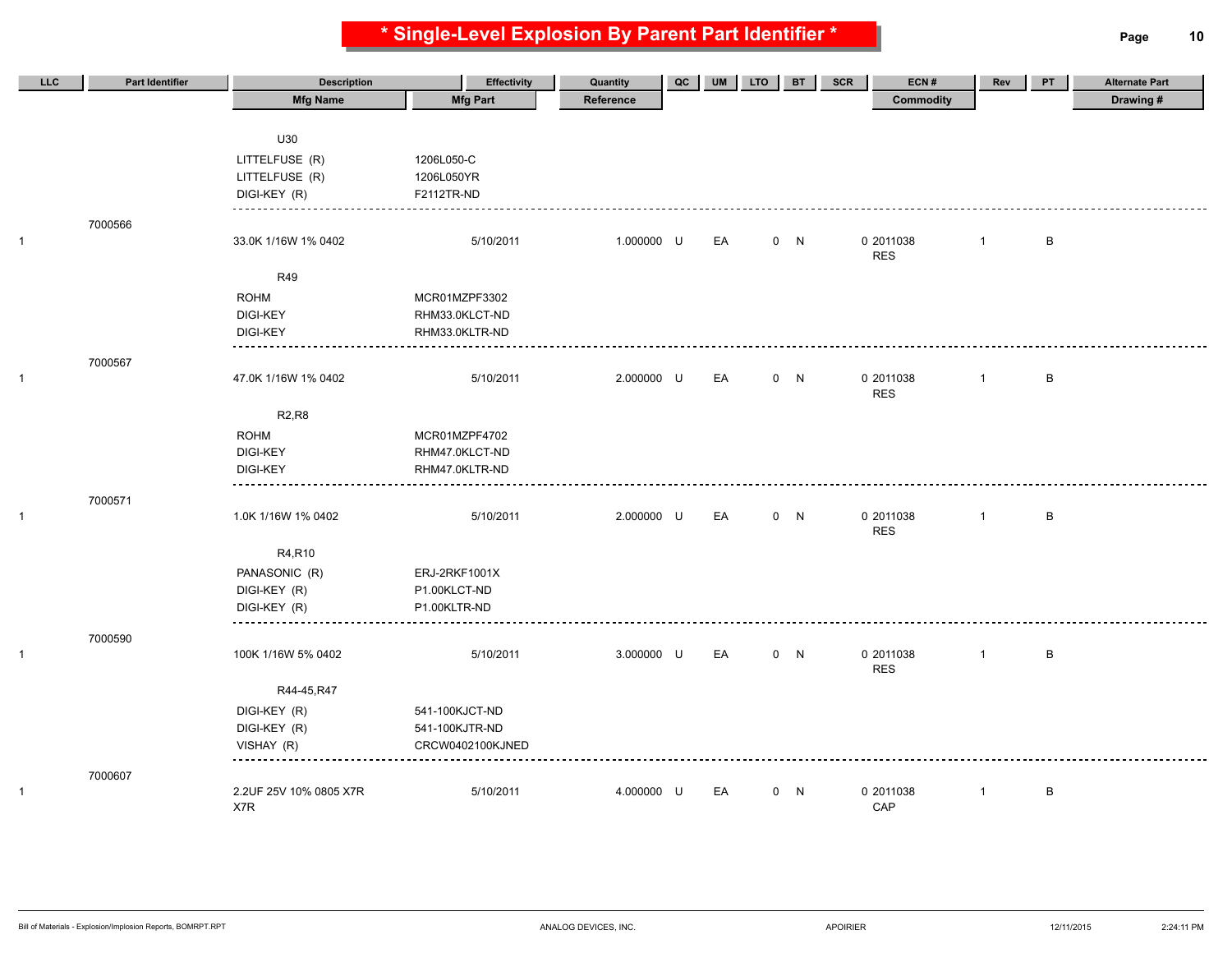**\* Single-Level Explosion By Parent Part Identifier \* Page 10**

| LLC          | Part Identifier | <b>Description</b>     | <b>Effectivity</b> | Quantity   | QC | UM | <b>LTO</b> | <b>BT</b> | ECN#<br>SCR      | Rev            | PT           | <b>Alternate Part</b> |
|--------------|-----------------|------------------------|--------------------|------------|----|----|------------|-----------|------------------|----------------|--------------|-----------------------|
|              |                 | <b>Mfg Name</b>        | <b>Mfg Part</b>    | Reference  |    |    |            |           | <b>Commodity</b> |                |              | Drawing#              |
|              |                 |                        |                    |            |    |    |            |           |                  |                |              |                       |
|              |                 | U30                    |                    |            |    |    |            |           |                  |                |              |                       |
|              |                 | LITTELFUSE (R)         | 1206L050-C         |            |    |    |            |           |                  |                |              |                       |
|              |                 | LITTELFUSE (R)         | 1206L050YR         |            |    |    |            |           |                  |                |              |                       |
|              |                 | DIGI-KEY (R)           | F2112TR-ND         |            |    |    |            |           |                  |                |              |                       |
|              |                 |                        |                    |            |    |    |            |           |                  |                |              |                       |
| $\mathbf{1}$ | 7000566         | 33.0K 1/16W 1% 0402    | 5/10/2011          | 1.000000 U |    | EA |            | 0 N       | 0 2011038        | $\overline{1}$ | B            |                       |
|              |                 |                        |                    |            |    |    |            |           | <b>RES</b>       |                |              |                       |
|              |                 | R49                    |                    |            |    |    |            |           |                  |                |              |                       |
|              |                 | <b>ROHM</b>            | MCR01MZPF3302      |            |    |    |            |           |                  |                |              |                       |
|              |                 | <b>DIGI-KEY</b>        | RHM33.0KLCT-ND     |            |    |    |            |           |                  |                |              |                       |
|              |                 | <b>DIGI-KEY</b>        | RHM33.0KLTR-ND     |            |    |    |            |           |                  |                |              |                       |
|              |                 |                        |                    |            |    |    |            |           |                  |                |              |                       |
|              | 7000567         |                        |                    |            |    |    |            |           |                  |                |              |                       |
| $\mathbf{1}$ |                 | 47.0K 1/16W 1% 0402    | 5/10/2011          | 2.000000 U |    | EA |            | 0 N       | 0 2011038        | $\mathbf{1}$   | $\,$ B       |                       |
|              |                 |                        |                    |            |    |    |            |           | <b>RES</b>       |                |              |                       |
|              |                 | <b>R2,R8</b>           |                    |            |    |    |            |           |                  |                |              |                       |
|              |                 | <b>ROHM</b>            | MCR01MZPF4702      |            |    |    |            |           |                  |                |              |                       |
|              |                 | DIGI-KEY               | RHM47.0KLCT-ND     |            |    |    |            |           |                  |                |              |                       |
|              |                 | <b>DIGI-KEY</b>        | RHM47.0KLTR-ND     |            |    |    |            |           |                  |                |              |                       |
|              | 7000571         |                        |                    |            |    |    |            |           |                  |                |              |                       |
| $\mathbf{1}$ |                 | 1.0K 1/16W 1% 0402     | 5/10/2011          | 2.000000 U |    | EA |            | 0 N       | 0 2011038        | $\overline{1}$ | $\sf B$      |                       |
|              |                 |                        |                    |            |    |    |            |           | <b>RES</b>       |                |              |                       |
|              |                 | R4,R10                 |                    |            |    |    |            |           |                  |                |              |                       |
|              |                 | PANASONIC (R)          | ERJ-2RKF1001X      |            |    |    |            |           |                  |                |              |                       |
|              |                 | DIGI-KEY (R)           | P1.00KLCT-ND       |            |    |    |            |           |                  |                |              |                       |
|              |                 | DIGI-KEY (R)           | P1.00KLTR-ND       |            |    |    |            |           |                  |                |              |                       |
|              |                 |                        |                    |            |    |    |            |           |                  |                |              |                       |
|              | 7000590         |                        |                    |            |    |    |            |           |                  |                |              |                       |
| 1            |                 | 100K 1/16W 5% 0402     | 5/10/2011          | 3.000000 U |    | EA |            | 0 N       | 0 2011038        | $\overline{1}$ | $\, {\sf B}$ |                       |
|              |                 |                        |                    |            |    |    |            |           | <b>RES</b>       |                |              |                       |
|              |                 | R44-45, R47            |                    |            |    |    |            |           |                  |                |              |                       |
|              |                 | DIGI-KEY (R)           | 541-100KJCT-ND     |            |    |    |            |           |                  |                |              |                       |
|              |                 | DIGI-KEY (R)           | 541-100KJTR-ND     |            |    |    |            |           |                  |                |              |                       |
|              |                 | VISHAY (R)             | CRCW0402100KJNED   |            |    |    |            |           |                  |                |              |                       |
|              | 7000607         |                        |                    |            |    |    |            |           |                  |                |              |                       |
| 1            |                 | 2.2UF 25V 10% 0805 X7R | 5/10/2011          | 4.000000 U |    | EA |            | 0 N       | 0 2011038        | $\mathbf{1}$   | B            |                       |
|              |                 | X7R                    |                    |            |    |    |            |           | CAP              |                |              |                       |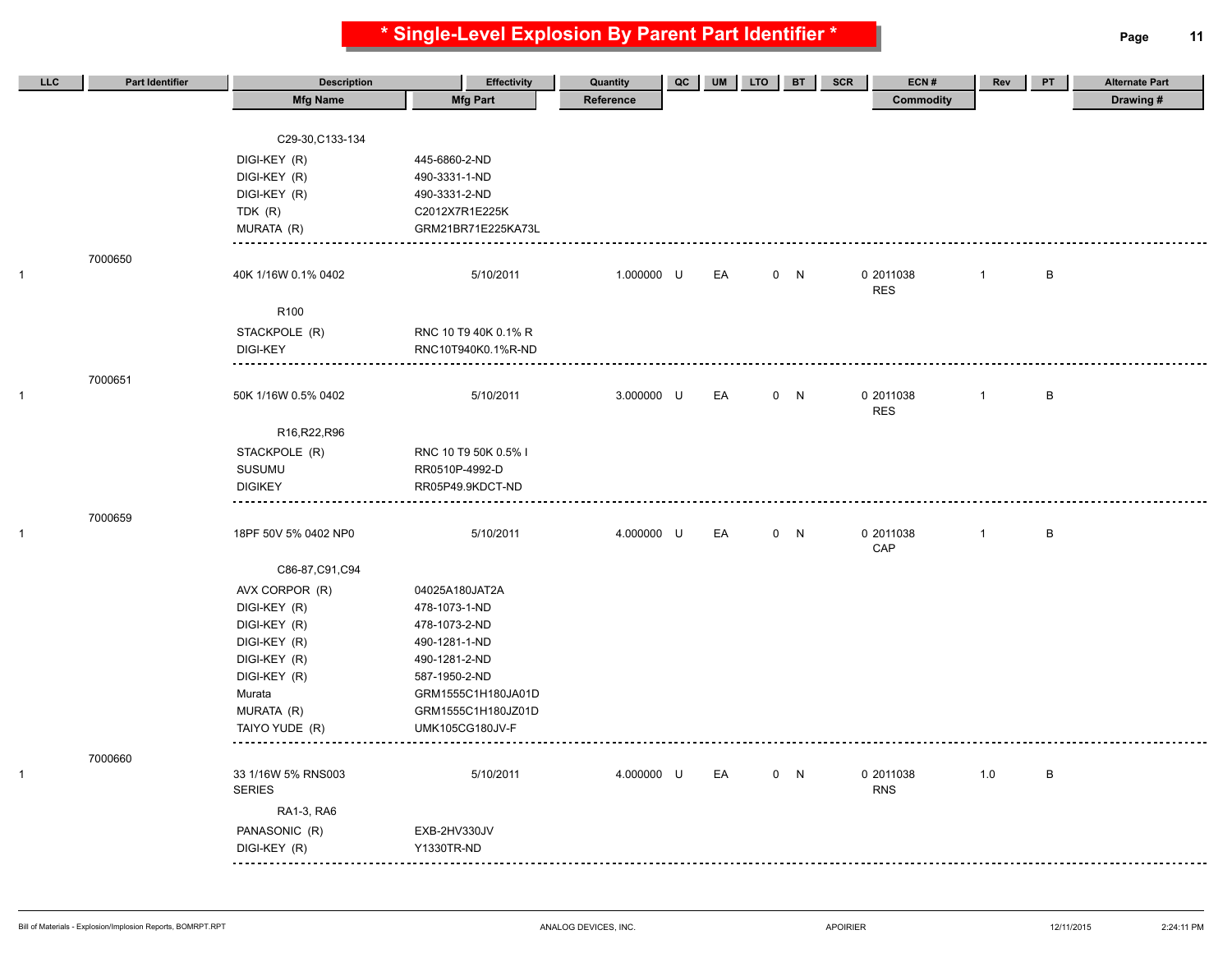**\* Single-Level Explosion By Parent Part Identifier \* Page 11**

| LLC          | <b>Part Identifier</b> | <b>Description</b>                  | <b>Effectivity</b>             | Quantity   | QC | <b>UM</b> | <b>LTO</b> | <b>BT</b> | ECN#<br>SCR             | Rev            | PT | <b>Alternate Part</b> |
|--------------|------------------------|-------------------------------------|--------------------------------|------------|----|-----------|------------|-----------|-------------------------|----------------|----|-----------------------|
|              |                        | <b>Mfg Name</b>                     | <b>Mfg Part</b>                | Reference  |    |           |            |           | <b>Commodity</b>        |                |    | Drawing#              |
|              |                        |                                     |                                |            |    |           |            |           |                         |                |    |                       |
|              |                        | C29-30, C133-134                    |                                |            |    |           |            |           |                         |                |    |                       |
|              |                        | DIGI-KEY (R)                        | 445-6860-2-ND                  |            |    |           |            |           |                         |                |    |                       |
|              |                        | DIGI-KEY (R)                        | 490-3331-1-ND                  |            |    |           |            |           |                         |                |    |                       |
|              |                        | DIGI-KEY (R)                        | 490-3331-2-ND                  |            |    |           |            |           |                         |                |    |                       |
|              |                        | TDK (R)                             | C2012X7R1E225K                 |            |    |           |            |           |                         |                |    |                       |
|              |                        | MURATA (R)                          | GRM21BR71E225KA73L             |            |    |           |            |           |                         |                |    |                       |
|              | 7000650                |                                     |                                |            |    |           |            |           |                         |                |    |                       |
| $\mathbf{1}$ |                        | 40K 1/16W 0.1% 0402                 | 5/10/2011                      | 1.000000 U |    | EA        |            | 0 N       | 0 2011038               | $\overline{1}$ | B  |                       |
|              |                        |                                     |                                |            |    |           |            |           | <b>RES</b>              |                |    |                       |
|              |                        | R <sub>100</sub>                    |                                |            |    |           |            |           |                         |                |    |                       |
|              |                        | STACKPOLE (R)                       | RNC 10 T9 40K 0.1% R           |            |    |           |            |           |                         |                |    |                       |
|              |                        | <b>DIGI-KEY</b>                     | RNC10T940K0.1%R-ND             |            |    |           |            |           |                         |                |    |                       |
|              | 7000651                |                                     |                                |            |    |           |            |           |                         |                |    |                       |
| $\mathbf{1}$ |                        | 50K 1/16W 0.5% 0402                 | 5/10/2011                      | 3.000000 U |    | EA        |            | 0 N       | 0 2011038               | $\overline{1}$ | B  |                       |
|              |                        |                                     |                                |            |    |           |            |           | <b>RES</b>              |                |    |                       |
|              |                        | R16, R22, R96                       |                                |            |    |           |            |           |                         |                |    |                       |
|              |                        | STACKPOLE (R)                       | RNC 10 T9 50K 0.5% I           |            |    |           |            |           |                         |                |    |                       |
|              |                        | <b>SUSUMU</b>                       | RR0510P-4992-D                 |            |    |           |            |           |                         |                |    |                       |
|              |                        | <b>DIGIKEY</b>                      | RR05P49.9KDCT-ND               |            |    |           |            |           |                         |                |    |                       |
|              | 7000659                |                                     |                                |            |    |           |            |           |                         |                |    |                       |
| $\mathbf{1}$ |                        | 18PF 50V 5% 0402 NP0                | 5/10/2011                      | 4.000000 U |    | EA        |            | 0 N       | 0 2011038               | $\mathbf{1}$   | B  |                       |
|              |                        |                                     |                                |            |    |           |            |           | CAP                     |                |    |                       |
|              |                        | C86-87, C91, C94                    |                                |            |    |           |            |           |                         |                |    |                       |
|              |                        | AVX CORPOR (R)                      | 04025A180JAT2A                 |            |    |           |            |           |                         |                |    |                       |
|              |                        | DIGI-KEY (R)                        | 478-1073-1-ND                  |            |    |           |            |           |                         |                |    |                       |
|              |                        | DIGI-KEY (R)                        | 478-1073-2-ND                  |            |    |           |            |           |                         |                |    |                       |
|              |                        | DIGI-KEY (R)                        | 490-1281-1-ND                  |            |    |           |            |           |                         |                |    |                       |
|              |                        | DIGI-KEY (R)<br>DIGI-KEY (R)        | 490-1281-2-ND<br>587-1950-2-ND |            |    |           |            |           |                         |                |    |                       |
|              |                        | Murata                              | GRM1555C1H180JA01D             |            |    |           |            |           |                         |                |    |                       |
|              |                        | MURATA (R)                          | GRM1555C1H180JZ01D             |            |    |           |            |           |                         |                |    |                       |
|              |                        | TAIYO YUDE (R)                      | <b>UMK105CG180JV-F</b>         |            |    |           |            |           |                         |                |    |                       |
|              |                        |                                     |                                |            |    |           |            |           |                         |                |    |                       |
|              | 7000660                |                                     |                                |            |    |           |            |           |                         |                |    |                       |
| $\mathbf{1}$ |                        | 33 1/16W 5% RNS003<br><b>SERIES</b> | 5/10/2011                      | 4.000000 U |    | EA        |            | 0 N       | 0 2011038<br><b>RNS</b> | 1.0            | B  |                       |
|              |                        | RA1-3, RA6                          |                                |            |    |           |            |           |                         |                |    |                       |
|              |                        |                                     |                                |            |    |           |            |           |                         |                |    |                       |
|              |                        | PANASONIC (R)                       | EXB-2HV330JV                   |            |    |           |            |           |                         |                |    |                       |
|              |                        | DIGI-KEY (R)                        | Y1330TR-ND                     |            |    |           |            |           |                         |                |    |                       |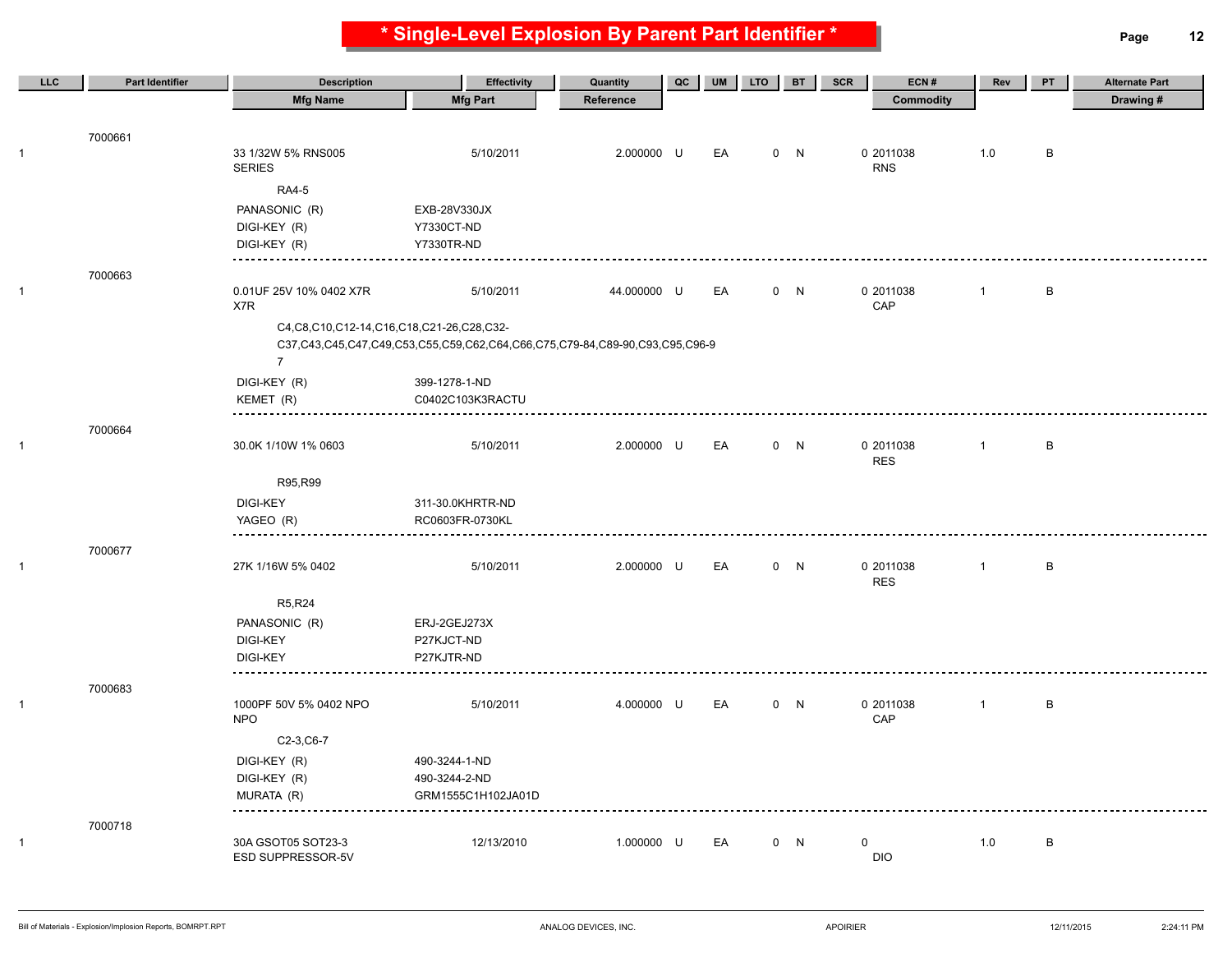**\* Single-Level Explosion By Parent Part Identifier \* Page 12**

| LLC | Part Identifier | <b>Description</b>                               | <b>Effectivity</b>                                                          | Quantity    | QC | <b>UM</b> | <b>LTO</b> | <b>BT</b> | SCR<br>ECN#             | Rev          | PT | <b>Alternate Part</b> |
|-----|-----------------|--------------------------------------------------|-----------------------------------------------------------------------------|-------------|----|-----------|------------|-----------|-------------------------|--------------|----|-----------------------|
|     |                 | <b>Mfg Name</b>                                  | <b>Mfg Part</b>                                                             | Reference   |    |           |            |           | <b>Commodity</b>        |              |    | Drawing#              |
|     |                 |                                                  |                                                                             |             |    |           |            |           |                         |              |    |                       |
|     | 7000661         |                                                  |                                                                             |             |    |           |            |           |                         |              |    |                       |
|     |                 | 33 1/32W 5% RNS005<br><b>SERIES</b>              | 5/10/2011                                                                   | 2.000000 U  |    | EA        |            | 0 N       | 0 2011038<br><b>RNS</b> | 1.0          | B  |                       |
|     |                 |                                                  |                                                                             |             |    |           |            |           |                         |              |    |                       |
|     |                 | <b>RA4-5</b>                                     |                                                                             |             |    |           |            |           |                         |              |    |                       |
|     |                 | PANASONIC (R)<br>DIGI-KEY (R)                    | EXB-28V330JX<br>Y7330CT-ND                                                  |             |    |           |            |           |                         |              |    |                       |
|     |                 | DIGI-KEY (R)                                     | Y7330TR-ND                                                                  |             |    |           |            |           |                         |              |    |                       |
|     |                 |                                                  |                                                                             |             |    |           |            |           |                         |              |    |                       |
|     | 7000663         |                                                  |                                                                             |             |    |           |            |           |                         |              |    |                       |
|     |                 | 0.01UF 25V 10% 0402 X7R<br>X7R                   | 5/10/2011                                                                   | 44.000000 U |    | EA        |            | 0 N       | 0 2011038<br>CAP        | $\mathbf{1}$ | В  |                       |
|     |                 | C4, C8, C10, C12-14, C16, C18, C21-26, C28, C32- |                                                                             |             |    |           |            |           |                         |              |    |                       |
|     |                 |                                                  | C37,C43,C45,C47,C49,C53,C55,C59,C62,C64,C66,C75,C79-84,C89-90,C93,C95,C96-9 |             |    |           |            |           |                         |              |    |                       |
|     |                 | $\overline{7}$                                   |                                                                             |             |    |           |            |           |                         |              |    |                       |
|     |                 | DIGI-KEY (R)                                     | 399-1278-1-ND                                                               |             |    |           |            |           |                         |              |    |                       |
|     |                 | KEMET (R)                                        | C0402C103K3RACTU                                                            |             |    |           |            |           |                         |              |    |                       |
|     |                 |                                                  |                                                                             |             |    |           |            |           |                         |              |    |                       |
|     | 7000664         | 30.0K 1/10W 1% 0603                              | 5/10/2011                                                                   | 2.000000 U  |    | EA        |            | 0 N       | 0 2011038               | $\mathbf{1}$ | В  |                       |
|     |                 |                                                  |                                                                             |             |    |           |            |           | <b>RES</b>              |              |    |                       |
|     |                 | R95,R99                                          |                                                                             |             |    |           |            |           |                         |              |    |                       |
|     |                 | DIGI-KEY                                         | 311-30.0KHRTR-ND                                                            |             |    |           |            |           |                         |              |    |                       |
|     |                 | YAGEO (R)                                        | RC0603FR-0730KL                                                             |             |    |           |            |           |                         |              |    |                       |
|     | 7000677         |                                                  |                                                                             |             |    |           |            |           |                         |              |    |                       |
|     |                 | 27K 1/16W 5% 0402                                | 5/10/2011                                                                   | 2.000000 U  |    | EA        |            | 0 N       | 0 2011038               | $\mathbf{1}$ | В  |                       |
|     |                 |                                                  |                                                                             |             |    |           |            |           | <b>RES</b>              |              |    |                       |
|     |                 | R5, R24                                          |                                                                             |             |    |           |            |           |                         |              |    |                       |
|     |                 | PANASONIC (R)                                    | ERJ-2GEJ273X                                                                |             |    |           |            |           |                         |              |    |                       |
|     |                 | DIGI-KEY                                         | P27KJCT-ND                                                                  |             |    |           |            |           |                         |              |    |                       |
|     |                 | <b>DIGI-KEY</b>                                  | P27KJTR-ND                                                                  |             |    |           |            |           |                         |              |    |                       |
|     |                 | ----------                                       |                                                                             |             |    |           |            |           |                         |              |    |                       |
|     | 7000683         | 1000PF 50V 5% 0402 NPO                           | 5/10/2011                                                                   | 4.000000 U  |    | EA        |            | 0 N       | 0 2011038               | $\mathbf{1}$ | B  |                       |
|     |                 | <b>NPO</b>                                       |                                                                             |             |    |           |            |           | CAP                     |              |    |                       |
|     |                 | C2-3, C6-7                                       |                                                                             |             |    |           |            |           |                         |              |    |                       |
|     |                 | DIGI-KEY (R)                                     | 490-3244-1-ND                                                               |             |    |           |            |           |                         |              |    |                       |
|     |                 | DIGI-KEY (R)                                     | 490-3244-2-ND                                                               |             |    |           |            |           |                         |              |    |                       |
|     |                 | MURATA (R)                                       | GRM1555C1H102JA01D                                                          |             |    |           |            |           |                         |              |    |                       |
|     |                 |                                                  |                                                                             |             |    |           |            |           |                         |              |    |                       |
|     | 7000718         |                                                  |                                                                             |             |    |           |            |           |                         |              |    |                       |
|     |                 | 30A GSOT05 SOT23-3<br>ESD SUPPRESSOR-5V          | 12/13/2010                                                                  | 1.000000 U  |    | EA        |            | 0 N       | 0<br><b>DIO</b>         | 1.0          | В  |                       |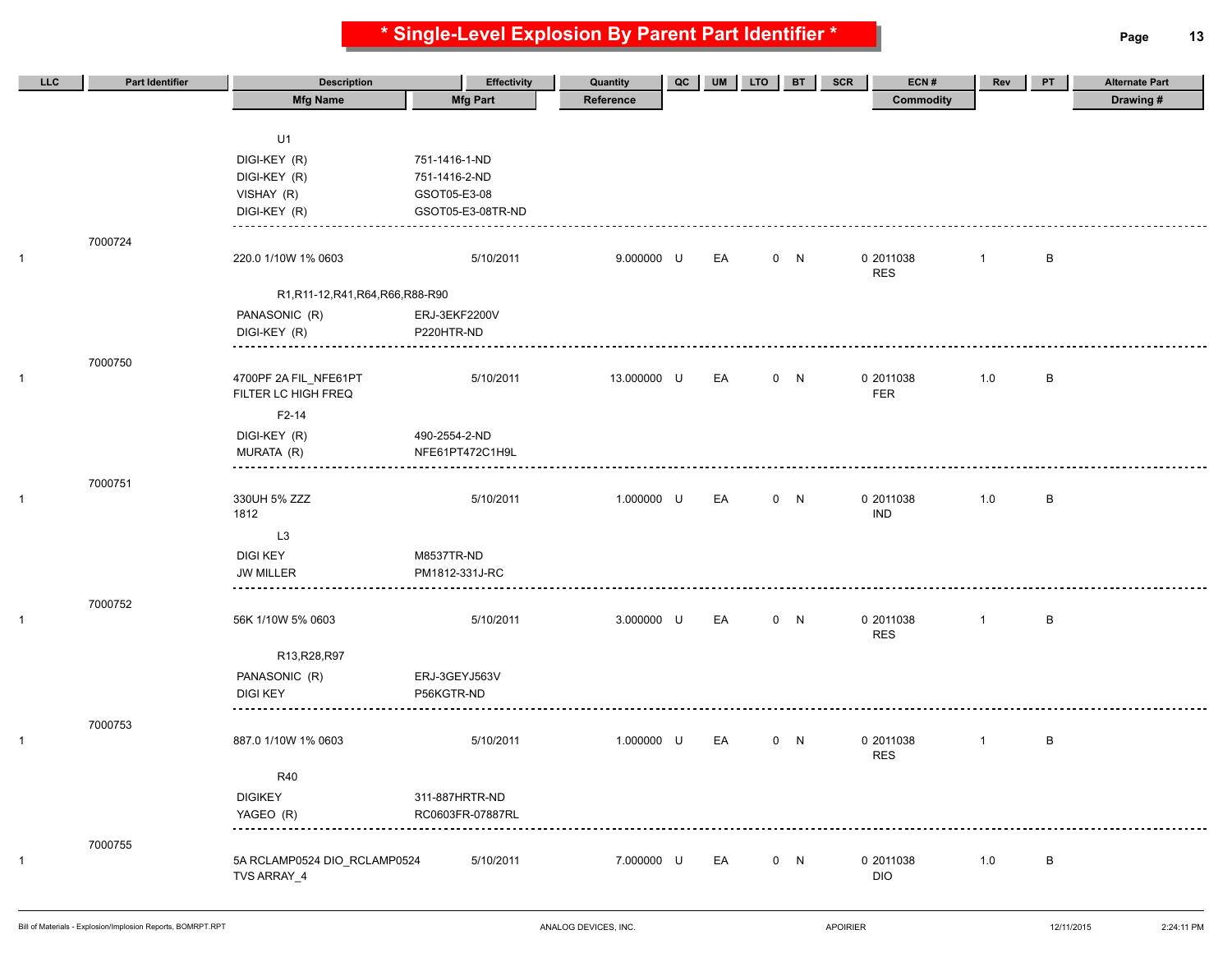**\* Single-Level Explosion By Parent Part Identifier \* Page 13**

| <b>LLC</b> | <b>Part Identifier</b> | <b>Description</b>                 | <b>Effectivity</b> | Quantity    | QC | <b>UM</b> | <b>LTO</b> | <b>BT</b> | <b>SCR</b><br>ECN# | Rev            | PT | <b>Alternate Part</b> |
|------------|------------------------|------------------------------------|--------------------|-------------|----|-----------|------------|-----------|--------------------|----------------|----|-----------------------|
|            |                        | <b>Mfg Name</b>                    | <b>Mfg Part</b>    | Reference   |    |           |            |           | <b>Commodity</b>   |                |    | Drawing #             |
|            |                        |                                    |                    |             |    |           |            |           |                    |                |    |                       |
|            |                        | U1                                 |                    |             |    |           |            |           |                    |                |    |                       |
|            |                        | DIGI-KEY (R)                       | 751-1416-1-ND      |             |    |           |            |           |                    |                |    |                       |
|            |                        | DIGI-KEY (R)                       | 751-1416-2-ND      |             |    |           |            |           |                    |                |    |                       |
|            |                        | VISHAY (R)                         | GSOT05-E3-08       |             |    |           |            |           |                    |                |    |                       |
|            |                        | DIGI-KEY (R)                       | GSOT05-E3-08TR-ND  |             |    |           |            |           |                    |                |    |                       |
|            |                        |                                    |                    |             |    |           |            |           |                    |                |    |                       |
| 1          | 7000724                | 220.0 1/10W 1% 0603                | 5/10/2011          | 9.000000 U  |    | EA        |            | 0 N       | 0 2011038          | $\overline{1}$ | B  |                       |
|            |                        |                                    |                    |             |    |           |            |           | <b>RES</b>         |                |    |                       |
|            |                        | R1, R11-12, R41, R64, R66, R88-R90 |                    |             |    |           |            |           |                    |                |    |                       |
|            |                        | PANASONIC (R)                      | ERJ-3EKF2200V      |             |    |           |            |           |                    |                |    |                       |
|            |                        | DIGI-KEY (R)                       | P220HTR-ND         |             |    |           |            |           |                    |                |    |                       |
|            |                        |                                    |                    |             |    |           |            |           |                    |                |    |                       |
|            | 7000750                |                                    |                    |             |    |           |            |           |                    |                |    |                       |
| 1          |                        | 4700PF 2A FIL_NFE61PT              | 5/10/2011          | 13.000000 U |    | EA        |            | 0 N       | 0 2011038          | 1.0            | В  |                       |
|            |                        | FILTER LC HIGH FREQ                |                    |             |    |           |            |           | FER                |                |    |                       |
|            |                        | F2-14                              |                    |             |    |           |            |           |                    |                |    |                       |
|            |                        | DIGI-KEY (R)                       | 490-2554-2-ND      |             |    |           |            |           |                    |                |    |                       |
|            |                        | MURATA (R)                         | NFE61PT472C1H9L    |             |    |           |            |           |                    |                |    |                       |
|            | 7000751                |                                    |                    |             |    |           |            |           |                    |                |    |                       |
| 1          |                        | 330UH 5% ZZZ                       | 5/10/2011          | 1.000000 U  |    | EA        |            | 0 N       | 0 2011038          | 1.0            | В  |                       |
|            |                        | 1812                               |                    |             |    |           |            |           | <b>IND</b>         |                |    |                       |
|            |                        | L3                                 |                    |             |    |           |            |           |                    |                |    |                       |
|            |                        | <b>DIGI KEY</b>                    | M8537TR-ND         |             |    |           |            |           |                    |                |    |                       |
|            |                        | <b>JW MILLER</b>                   | PM1812-331J-RC     |             |    |           |            |           |                    |                |    |                       |
|            |                        |                                    |                    |             |    |           |            |           |                    |                |    |                       |
| 1          | 7000752                | 56K 1/10W 5% 0603                  | 5/10/2011          | 3.000000 U  |    | EA        |            | 0 N       | 0 2011038          | $\mathbf{1}$   | В  |                       |
|            |                        |                                    |                    |             |    |           |            |           | <b>RES</b>         |                |    |                       |
|            |                        | R13, R28, R97                      |                    |             |    |           |            |           |                    |                |    |                       |
|            |                        | PANASONIC (R)                      | ERJ-3GEYJ563V      |             |    |           |            |           |                    |                |    |                       |
|            |                        | <b>DIGI KEY</b>                    | P56KGTR-ND         |             |    |           |            |           |                    |                |    |                       |
|            |                        |                                    |                    |             |    |           |            |           |                    |                |    |                       |
|            | 7000753                |                                    |                    |             |    |           |            |           |                    |                |    |                       |
| 1          |                        | 887.0 1/10W 1% 0603                | 5/10/2011          | 1.000000 U  |    | EA        |            | 0 N       | 0 2011038          | $\mathbf{1}$   | В  |                       |
|            |                        |                                    |                    |             |    |           |            |           | <b>RES</b>         |                |    |                       |
|            |                        | <b>R40</b>                         |                    |             |    |           |            |           |                    |                |    |                       |
|            |                        | <b>DIGIKEY</b>                     | 311-887HRTR-ND     |             |    |           |            |           |                    |                |    |                       |
|            |                        | YAGEO (R)                          | RC0603FR-07887RL   |             |    |           |            |           |                    |                |    |                       |
|            | 7000755                |                                    |                    |             |    |           |            |           |                    |                |    |                       |
| 1          |                        | 5A RCLAMP0524 DIO_RCLAMP0524       | 5/10/2011          | 7.000000 U  |    | EA        |            | 0 N       | 0 2011038          | 1.0            | В  |                       |
|            |                        | TVS ARRAY_4                        |                    |             |    |           |            |           | <b>DIO</b>         |                |    |                       |